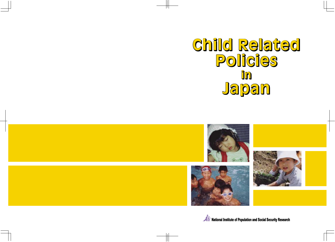# **Child Related Child Related Policies Policies in in Japan Japan**





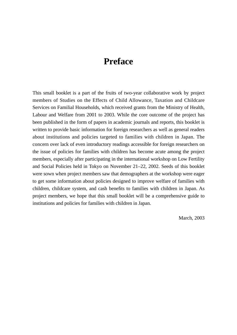# **Preface**

This small booklet is a part of the fruits of two-year collaborative work by project members of Studies on the Effects of Child Allowance, Taxation and Childcare Services on Familial Households, which received grants from the Ministry of Health, Labour and Welfare from 2001 to 2003. While the core outcome of the project has been published in the form of papers in academic journals and reports, this booklet is written to provide basic information for foreign researchers as well as general readers about institutions and policies targeted to families with children in Japan. The concern over lack of even introductory readings accessible for foreign researchers on the issue of policies for families with children has become acute among the project members, especially after participating in the international workshop on Low Fertility and Social Policies held in Tokyo on November 21–22, 2002. Seeds of this booklet were sown when project members saw that demographers at the workshop were eager to get some information about policies designed to improve welfare of families with children, childcare system, and cash benefits to families with children in Japan. As project members, we hope that this small booklet will be a comprehensive guide to institutions and policies for families with children in Japan.

March, 2003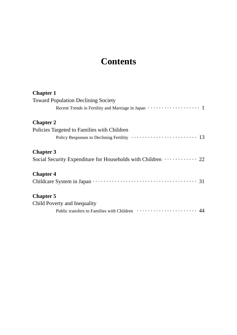# **Contents**

| <b>Chapter 1</b>                                                                        |
|-----------------------------------------------------------------------------------------|
| <b>Toward Population Declining Society</b>                                              |
| Recent Trends in Fertility and Marriage in Japan $\cdots \cdots \cdots \cdots \cdots 1$ |
| <b>Chapter 2</b>                                                                        |
| Policies Targeted to Families with Children                                             |
|                                                                                         |
| <b>Chapter 3</b>                                                                        |
| Social Security Expenditure for Households with Children ··········· 22                 |
| <b>Chapter 4</b>                                                                        |
|                                                                                         |
| <b>Chapter 5</b>                                                                        |
| Child Poverty and Inequality                                                            |
|                                                                                         |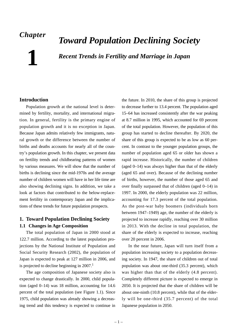# *Chapter*

**1**

# *Toward Population Declining Society*

*Recent Trends in Fertility and Marriage in Japan*

# **Introduction**

Population growth at the national level is determined by fertility, mortality, and international migration. In general, fertility is the primary engine of population growth and it is no exception in Japan. Because Japan admits relatively few immigrants, natural growth or the difference between the number of births and deaths accounts for nearly all of the country's population growth. In this chapter, we present data on fertility trends and childbearing patterns of women by various measures. We will show that the number of births is declining since the mid-1970s and the average number of children women will have in her life time are also showing declining signs. In addition, we take a look at factors that contributed to the below-replacement fertility in contemporary Japan and the implications of these trends for future population prospects.

# **1. Toward Population Declining Society 1.1 Changes in Age Composition**

The total population of Japan in 2000 stood at 122.7 million. According to the latest population projections by the National Institute of Population and Social Security Research (2002), the population of Japan is expected to peak at 127 million in 2006, and is projected to decline beginning in  $2007$ <sup>1</sup>

The age composition of Japanese society also is expected to change drastically. In 2000, child population (aged 0–14) was 18 million, accounting for 14.6 percent of the total population (see Figure 1.1). Since 1975, child population was already showing a decreasing trend and this tendency is expected to continue in the future. In 2010, the share of this group is projected to decrease further to 13.4 percent. The population aged 15–64 has increased consistently after the war peaking at 8.7 million in 1995, which accounted for 69 percent of the total population. However, the population of this group has started to decline thereafter. By 2020, the share of this group is expected to be as low as 60 percent. In contrast to the younger population groups, the number of population aged 65 or older has shown a rapid increase. Historically, the number of children (aged 0–14) was always higher than that of the elderly (aged 65 and over). Because of the declining number of births, however, the number of those aged 65 and over finally surpassed that of children (aged 0–14) in 1997. In 2000, the elderly population was 22 million, accounting for 17.3 percent of the total population. As the post-war baby boomers (individuals born between 1947–1949) age, the number of the elderly is projected to increase rapidly, reaching over 30 million in 2013. With the decline in total population, the share of the elderly is expected to increase, reaching over 20 percent in 2006.

In the near future, Japan will turn itself from a population increasing society to a population decreasing society. In 1947, the share of children out of total population was about one-third (35.3 percent), which was higher than that of the elderly (4.8 percent). Completely different picture is expected to emerge in 2050. It is projected that the share of children will be about one-ninth (10.8 percent), while that of the elderly will be one-third (35.7 percent) of the total Japanese population in 2050.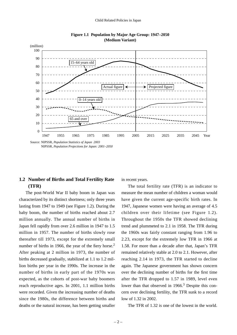

**Figure 1.1 Population by Major Age Group: 1947–2050 (Medium Variant)**

NIPSSR, *Population Projections for Japan: 2001–2050* 

# **1.2 Number of Births and Total Fertility Rate (TFR)**

The post-World War II baby boom in Japan was characterized by its distinct shortness; only three years lasting from 1947 to 1949 (see Figure 1.2). During the baby boom, the number of births reached about 2.7 million annually. The annual number of births in Japan fell rapidly from over 2.6 million in 1947 to 1.5 million in 1957. The number of births slowly rose thereafter till 1973, except for the extremely small number of births in 1966, the year of the fiery horse.<sup>2</sup> After peaking at 2 million in 1973, the number of births decreased gradually, stabilized at 1.1 to 1.2 million births per year in the 1990s. The increase in the number of births in early part of the 1970s was expected, as the cohorts of post-war baby boomers reach reproductive ages. In 2001, 1.1 million births were recorded. Given the increasing number of deaths since the 1980s, the difference between births and deaths or the natural increase, has been getting smaller

in recent years.

The total fertility rate (TFR) is an indicator to measure the mean number of children a woman would have given the current age-specific birth rates. In 1947, Japanese women were having an average of 4.5 children over their lifetime (see Figure 1.2). Throughout the 1950s the TFR showed declining trend and plummeted to 2.1 in 1958. The TFR during the 1960s was fairly constant ranging from 1.96 to 2.23, except for the extremely low TFR in 1966 at 1.58. For more than a decade after that, Japan's TFR remained relatively stable at 2.0 to 2.1. However, after reaching 2.14 in 1973, the TFR started to decline again. The Japanese government has shown concern over the declining number of births for the first time after the TFR dropped to 1.57 in 1989, level even lower than that observed in 1966.<sup>3</sup> Despite this concern over declining fertility, the TFR sunk to a record low of 1.32 in 2002.

The TFR of 1.32 is one of the lowest in the world.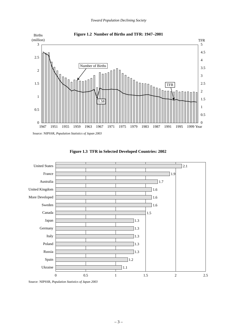



**Figure 1.3 TFR in Selected Developed Countries: 2002**

Source: NIPSSR, *Population Statistics of Japan 2003*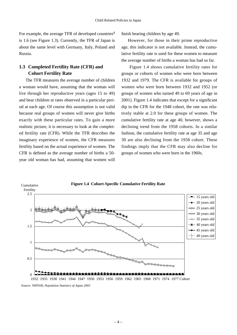For example, the average TFR of developed countries<sup>4</sup> is 1.6 (see Figure 1.3). Currently, the TFR of Japan is about the same level with Germany, Italy, Poland and Russia.

# **1.3 Completed Fertility Rate (CFR) and Cohort Fertility Rate**

The TFR measures the average number of children a woman would have, assuming that the woman will live through her reproductive years (ages 15 to 49) and bear children at rates observed in a particular period at each age. Of course this assumption is not valid because real groups of women will never give births exactly with these particular rates. To gain a more realistic picture, it is necessary to look at the completed fertility rate (CFR). While the TFR describes the imaginary experience of women, the CFR measures fertility based on the actual experience of women. The CFR is defined as the average number of births a 50 year old woman has had, assuming that women will

finish bearing children by age 49.

However, for those in their prime reproductive age, this indicator is not available. Instead, the cumulative fertility rate is used for these women to measure the average number of births a woman has had so far.

Figure 1.4 shows cumulative fertility rates for groups or cohorts of women who were born between 1932 and 1979. The CFR is available for groups of women who were born between 1932 and 1952 (or groups of women who turned 49 to 69 years of age in 2001). Figure 1.4 indicates that except for a significant dip in the CFR for the 1948 cohort, the rate was relatively stable at 2.0 for these groups of women. The cumulative fertility rate at age 40, however, shows a declining trend from the 1958 cohorts. In a similar fashion, the cumulative fertility rate at age 35 and age 30 are also declining from the 1958 cohort. These findings imply that the CFR may also decline for groups of women who were born in the 1960s.



Source: NIPSSR, *Population Statistics of Japan 2003*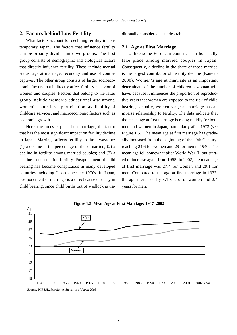### **2. Factors behind Low Fertility**

What factors account for declining fertility in contemporary Japan? The factors that influence fertility can be broadly divided into two groups. The first group consists of demographic and biological factors that directly influence fertility. These include marital status, age at marriage, fecundity and use of contraceptives. The other group consists of larger socioeconomic factors that indirectly affect fertility behavior of women and couples. Factors that belong to the latter group include women's educational attainment, women's labor force participation, availability of childcare services, and macroeconomic factors such as economic growth.

Here, the focus is placed on marriage, the factor that has the most significant impact on fertility decline in Japan. Marriage affects fertility in three ways by: (1) a decline in the percentage of those married; (2) a decline in fertility among married couples; and (3) a decline in non-marital fertility. Postponement of child bearing has become conspicuous in many developed countries including Japan since the 1970s. In Japan, postponement of marriage is a direct cause of delay in child bearing, since child births out of wedlock is traditionally considered as undesirable.

#### **2.1 Age at First Marriage**

Unlike some European countries, births usually take place among married couples in Japan. Consequently, a decline in the share of those married is the largest contributor of fertility decline (Kaneko 2000). Women's age at marriage is an important determinant of the number of children a woman will have, because it influences the proportion of reproductive years that women are exposed to the risk of child bearing. Usually, women's age at marriage has an inverse relationship to fertility. The data indicate that the mean age at first marriage is rising rapidly for both men and women in Japan, particularly after 1973 (see Figure 1.5). The mean age at first marriage has gradually increased from the beginning of the 20th Century, reaching 24.6 for women and 29 for men in 1940. The mean age fell somewhat after World War II, but started to increase again from 1955. In 2002, the mean age at first marriage was 27.4 for women and 29.1 for men. Compared to the age at first marriage in 1973, the age increased by 3.1 years for women and 2.4 years for men.



**Figure 1.5 Mean Age at First Marriage: 1947–2002**

<sup>– 5</sup> –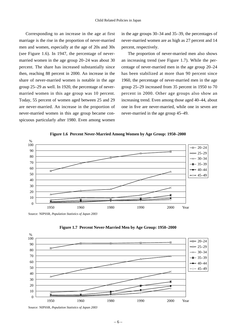Corresponding to an increase in the age at first marriage is the rise in the proportion of never-married men and women, especially at the age of 20s and 30s (see Figure 1.6). In 1947, the percentage of nevermarried women in the age group 20–24 was about 30 percent. The share has increased substantially since then, reaching 88 percent in 2000. An increase in the share of never-married women is notable in the age group 25–29 as well. In 1920, the percentage of nevermarried women in this age group was 10 percent. Today, 55 percent of women aged between 25 and 29 are never-married. An increase in the proportion of never-married women in this age group became conspicuous particularly after 1980. Even among women in the age groups 30–34 and 35–39, the percentages of never-married women are as high as 27 percent and 14 percent, respectively.

The proportion of never-married men also shows an increasing trend (see Figure 1.7). While the percentage of never-married men in the age group 20–24 has been stabilized at more than 90 percent since 1960, the percentage of never-married men in the age group 25–29 increased from 35 percent in 1950 to 70 percent in 2000. Other age groups also show an increasing trend. Even among those aged 40–44, about one in five are never-married, while one in seven are never-married in the age group 45–49.



**Figure 1.6 Percent Never-Married Among Women by Age Group: 1950–2000**

Source: NIPSSR, *Population Statistics of Japan 2003*





Source: NIPSSR, *Population Statistics of Japan 2003*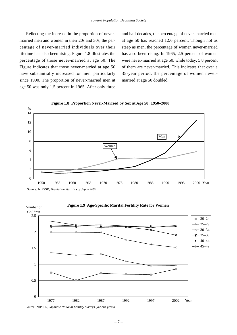Reflecting the increase in the proportion of nevermarried men and women in their 20s and 30s, the percentage of never-married individuals over their lifetime has also been rising. Figure 1.8 illustrates the percentage of those never-married at age 50. The Figure indicates that those never-married at age 50 have substantially increased for men, particularly since 1990. The proportion of never-married men at age 50 was only 1.5 percent in 1965. After only three

and half decades, the percentage of never-married men at age 50 has reached 12.6 percent. Though not as steep as men, the percentage of women never-married has also been rising. In 1965, 2.5 percent of women were never-married at age 50, while today, 5.8 percent of them are never-married. This indicates that over a 35-year period, the percentage of women nevermarried at age 50 doubled.







Source: NIPSSR, *Japanese National Fertility Surveys* (various years)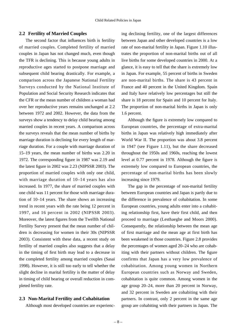#### **2.2 Fertility of Married Couples**

The second factor that influences birth is fertility of married couples. Completed fertility of married couples in Japan has not changed much, even though the TFR is declining. This is because young adults in reproductive ages started to postpone marriage and subsequent child bearing drastically. For example, a comparison across the Japanese National Fertility Surveys conducted by the National Institute of Population and Social Security Research indicates that the CFR or the mean number of children a woman had over her reproductive years remains unchanged at 2.2 between 1972 and 2002. However, the data from the surveys show a tendency to delay child bearing among married couples in recent years. A comparison across the surveys reveals that the mean number of births by marriage duration is declining for every length of marriage duration. For a couple with marriage duration of 15–19 years, the mean number of births was 2.20 in 1972. The corresponding figure in 1987 was 2.19 and the latest figure in 2002 was 2.23 (NIPSSR 2003). The proportion of married couples with only one child, with marriage duration of 10–14 years has also increased. In 1977, the share of married couples with one child was 11 percent for those with marriage duration of 10–14 years. The share shows an increasing trend in recent years with the rate being 12 percent in 1997, and 16 percent in 2002 (NIPSSR 2003). Moreover, the latest figures from the Twelfth National Fertility Survey present that the mean number of children is decreasing for women in their 30s (NIPSSR 2003). Consistent with these data, a recent study on fertility of married couples also suggests that a delay in the timing of first birth may lead to a decrease in the completed fertility among married couples (Sasai 1998). However, it is still too early to tell whether the slight decline in marital fertility is the matter of delay in timing of child bearing or overall reduction in completed fertility rate.

#### **2.3 Non-Marital Fertility and Cohabitation**

Although most developed countries are experienc-

ing declining fertility, one of the largest differences between Japan and other developed countries is a low rate of non-marital fertility in Japan. Figure 1.10 illustrates the proportion of non-marital births out of all live births for some developed countries in 2000. At a glance, it is easy to tell that the share is extremely low in Japan. For example, 55 percent of births in Sweden are non-marital births. The share is 43 percent in France and 40 percent in the United Kingdom. Spain and Italy have relatively low percentages but still the share is 18 percent for Spain and 10 percent for Italy. The proportion of non-marital births in Japan is only 1.6 percent.

Although the figure is extremely low compared to European countries, the percentage of extra-marital births in Japan was relatively high immediately after World War II. The proportion was about 3.8 percent in 1947 (see Figure 1.11), but the share decreased throughout the 1950s and 1960s, reaching the lowest level at 0.77 percent in 1978. Although the figure is extremely low compared to European countries, the percentage of non-marital births has been slowly increasing since 1979.

The gap in the percentage of non-marital fertility between European countries and Japan is partly due to the difference in prevalence of cohabitation. In some European countries, young adults enter into a cohabiting relationship first, have their first child, and then proceed to marriage (Lesthaeghe and Moors 2000). Consequently, the relationship between the mean age of first marriage and the mean age at first birth has been weakened in those countries. Figure 2.8 provides the percentages of women aged 20–24 who are cohabiting with their partners without children. The figure confirms that Japan has a very low prevalence of cohabitation. Among young women in Northern European countries such as Norway and Sweden, cohabitation is quite common. Among women in the age group 20–24, more than 20 percent in Norway, and 32 percent in Sweden are cohabiting with their partners. In contrast, only 2 percent in the same age group are cohabiting with their partners in Japan. The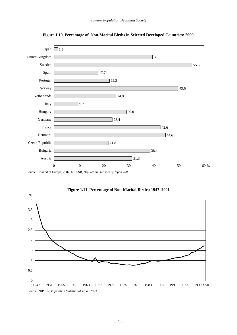![](_page_13_Figure_1.jpeg)

**Figure 1.10 Percentage of Non-Marital Births in Selected Developed Countries: 2000**

Source: Council of Europe, 2002; NIPSSR, *Population Statistics of Japan 2003*

![](_page_13_Figure_4.jpeg)

**Figure 1.11 Percentage of Non-Marital Births: 1947–2001**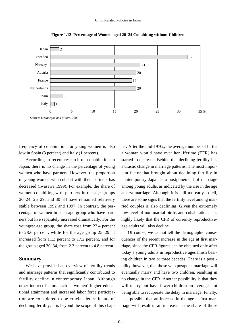![](_page_14_Figure_1.jpeg)

**Figure 1.12 Percentage of Women aged 20–24 Cohabiting without Children**

frequency of cohabitation for young women is also low in Spain (3 percent) and Italy (1 percent).

According to recent research on cohabitation in Japan, there is no change in the percentage of young women who have partners. However, the proportion of young women who cohabit with their partners has decreased (Iwasawa 1999). For example, the share of women cohabiting with partners in the age groups 20–24, 25–29, and 30–34 have remained relatively stable between 1992 and 1997. In contrast, the percentage of women in each age group who have partners but live separately increased dramatically. For the youngest age group, the share rose from 23.4 percent to 28.6 percent, while for the age group 25–29, it increased from 11.3 percent to 17.2 percent, and for the group aged 30–34, from 2.3 percent to 4.8 percent.

#### **Summary**

We have provided an overview of fertility trends and marriage patterns that significantly contributed to fertility decline in contemporary Japan. Although other indirect factors such as women' higher educational attainment and increased labor force participation are considered to be crucial determinants of declining fertility, it is beyond the scope of this chap-

ter. After the mid-1970s, the average number of births a woman would have over her lifetime (TFR) has started to decrease. Behind this declining fertility lies a drastic change in marriage patterns. The most important factor that brought about declining fertility in contemporary Japan is a postponement of marriage among young adults, as indicated by the rise in the age at first marriage. Although it is still too early to tell, there are some signs that the fertility level among married couples is also declining. Given the extremely low level of non-marital births and cohabitation, it is highly likely that the CFR of currently reproductiveage adults will also decline.

Of course, we cannot tell the demographic consequences of the recent increase in the age at first marriage, since the CFR figures can be obtained only after today's young adults in reproductive ages finish bearing children in two or three decades. There is a possibility, however, that those who postpone marriage will eventually marry and have two children, resulting in no change in the CFR. Another possibility is that they will marry but have fewer children on average, not being able to recuperate the delay in marriage. Finally, it is possible that an increase in the age at first marriage will result in an increase in the share of those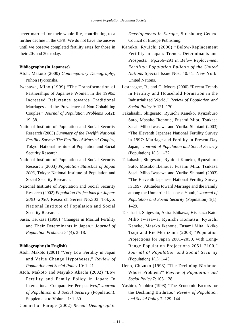never-married for their whole life, contributing to a further decline in the CFR. We do not have the answer until we observe completed fertility rates for those in their 20s and 30s today.

#### **Bibliography (in Japanese)**

- Atoh, Makoto (2000) *Contemporary Demography*, Nihon Hyoronsha.
- Iwasawa, Miho (1999) "The Transformation of Partnerships of Japanese Women in the 1990s: Increased Reluctance towards Traditional Marriages and the Prevalence of Non-Cohabiting Couples," *Journal of Population Problems* 55(2): 19–38.
- National Institute of Population and Social Security Research (2003) *Summary of the Twelfth National Fertility Survey: The Fertility of Married Couples*, Tokyo: National Institute of Population and Social Security Research.
- National Institute of Population and Social Security Research (2003) *Population Statistics of Japan 2003*, Tokyo: National Institute of Population and Social Security Research.
- National Institute of Population and Social Security Research (2002) *Population Projections for Japan: 2001–2050*, Research Series No.303, Tokyo: National Institute of Population and Social Security Research.
- Sasai, Tsukasa (1998) "Changes in Marital Fertility and Their Determinants in Japan," *Journal of Population Problems* 54(4): 3–18.

### **Bibliography (in English)**

- Atoh, Makoto (2001) "Very Low Fertility in Japan and Value Change Hypotheses," *Review of Population and Social Policy* 10: 1–21.
- Atoh, Makoto and Mayuko Akachi (2002) "Low Fertility and Family Policy in Japan: In International Comparative Perspectives," *Journal of Population and Social Security* (Population). Supplement to Volume 1: 1–30.

Council of Europe (2002) *Recent Demographic*

*Developments in Europe*, Strasbourg Cedex: Council of Europe Publishing.

- Kaneko, Ryuichi (2000) "Below-Replacement Fertility in Japan: Trends, Determinants and Prospects," Pp.266–291 in B*elow Replacement Fertility: Population Bulletin of the United Nations* Special Issue Nos. 40/41. New York: United Nations.
- Lesthaeghe, R., and G. Moors (2000) "Recent Trends in Fertility and Household Formation in the Industrialized World," *Review of Population and Social Policy* 9: 121–170.
- Takahashi, Shigesato, Ryuichi Kaneko, Ryuzaburo Sato, Masako Ikenoue, Fusami Mita, Tsukasa Sasai, Miho Iwasawa and Yuriko Shintani (2003) "The Eleventh Japanese National Fertility Survey in 1997: Marriage and Fertility in Present-Day Japan," *Journal of Population and Social Security* (Population) 1(1): 1–32.
- Takahashi, Shigesato, Ryuichi Kaneko, Ryuzaburo Sato, Masako Ikenoue, Fusami Mita, Tsukasa Sasai, Miho Iwasawa and Yuriko Shintani (2003) "The Eleventh Japanese National Fertility Survey in 1997: Attitudes toward Marriage and the Family among the Unmarried Japanese Youth," *Journal of Population and Social Security* (Population) 1(1): 1–29.
- Takahashi, Shigesato, Akira Ishikawa, Hisakazu Kato, Miho Iwasawa, Ryuichi Komatsu, Ryuichi Kaneko, Masako Ikenoue, Fusami Mita, Akiko Tsuji and Rie Moriizumi (2003) "Population Projections for Japan 2001–2050, with Long-Range Population Projections 2051–2100," *Journal of Population and Social Security* (Population) 1(1): 1–43.
- Ueno, Chizuko (1998) "The Declining Birthrate: Whose Problem?" *Review of Population and Social Policy* 7: 103–128.
- Yashiro, Naohiro (1998) "The Economic Factors for the Declining Birthrate," *Review of Population and Social Policy* 7: 129–144.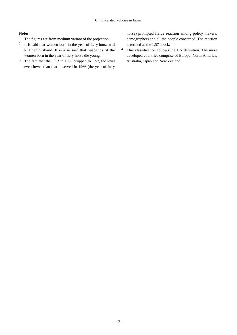#### **Notes:**

- <sup>1</sup> The figures are from medium variant of the projection.
- <sup>2</sup> It is said that women born in the year of fiery horse will kill her husband. It is also said that husbands of the women born in the year of fiery horse die young.
- <sup>3</sup> The fact that the TFR in 1989 dropped to 1.57, the level even lower than that observed in 1966 (the year of fiery

horse) prompted fierce reaction among policy makers, demographers and all the people concerned. The reaction is termed as the 1.57 shock.

<sup>4</sup> This classification follows the UN definition. The more developed countries comprise of Europe, North America, Australia, Japan and New Zealand.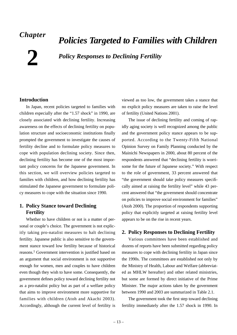# *Chapter*

**2**

# *Policies Targeted to Families with Children Policy Responses to Declining Fertility*

# **Introduction**

In Japan, recent policies targeted to families with children especially after the "1.57 shock" in 1990, are closely associated with declining fertility. Increasing awareness on the effects of declining fertility on population structure and socioeconomic institutions finally prompted the government to investigate the causes of fertility decline and to formulate policy measures to cope with population declining society. Since then, declining fertility has become one of the most important policy concerns for the Japanese government. In this section, we will overview policies targeted to families with children, and how declining fertility has stimulated the Japanese government to formulate policy measures to cope with the situation since 1990.

# **1. Policy Stance toward Declining Fertility**

Whether to have children or not is a matter of personal or couple's choice. The government is not explicitly taking pro-natalist measures to halt declining fertility. Japanese public is also sensitive to the government stance toward low fertility because of historical reasons.1 Government intervention is justified based on an argument that social environment is not supportive enough for women, men and couples to have children even though they wish to have some. Consequently, the government defines policy toward declining fertility not as a pro-natalist policy but as part of a welfare policy that aims to improve environment more supportive for families with children (Atoh and Akachi 2003). Accordingly, although the current level of fertility is

viewed as too low, the government takes a stance that no explicit policy measures are taken to raise the level of fertility (United Nations 2001).

The issue of declining fertility and coming of rapidly aging society is well recognized among the public and the government policy stance appears to be supported. According to the Twenty-Fifth National Opinion Survey on Family Planning conducted by the Mainichi Newspapers in 2000, about 80 percent of the respondents answered that "declining fertility is worrisome for the future of Japanese society." With respect to the role of government, 33 percent answered that "the government should take policy measures specifically aimed at raising the fertility level" while 43 percent answered that "the government should concentrate on policies to improve social environment for families" (Atoh 2000). The proportion of respondents supporting policy that explicitly targeted at raising fertility level appears to be on the rise in recent years.

# **2. Policy Responses to Declining Fertility**

Various committees have been established and dozens of reports have been submitted regarding policy measures to cope with declining fertility in Japan since the 1990s. The committees are established not only by the Ministry of Health, Labour and Welfare (abbreviated as MHLW hereafter) and other related ministries, but some are formed by direct initiative of the Prime Minister. The major actions taken by the government between 1990 and 2003 are summarized in Table 2.1.

The government took the first step toward declining fertility immediately after the 1.57 shock in 1990. In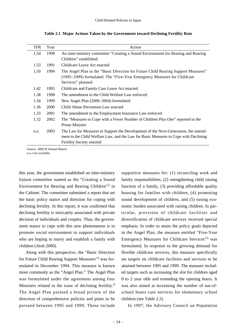| TFR  | Year | Action                                                                               |
|------|------|--------------------------------------------------------------------------------------|
| 1.54 | 1990 | An inter-ministry committee "Creating a Sound Environment for Bearing and Rearing    |
|      |      | Children" established                                                                |
| 1.53 | 1991 | Childcare Leave Act enacted                                                          |
| 1.50 | 1994 | The Angel Plan or the "Basic Direction for Future Child Rearing Support Measures"    |
|      |      | (1995–1999) formulated. The "Five-Year Emergency Measures for Childcare              |
|      |      | Services" planned                                                                    |
| 1.42 | 1995 | Childcare and Family Care Leave Act enacted                                          |
| 1.38 | 1998 | The amendment to the Child Welfare Law enforced                                      |
| 1.34 | 1999 | New Angel Plan (2000–2004) formulated                                                |
| 1.36 | 2000 | Child Abuse Prevention Law enacted                                                   |
| 1.33 | 2001 | The amendment to the Employment Insurance Law enforced                               |
| 1.32 | 2002 | The "Measures to Cope with a Fewer Number of Children Plus One" reported to the      |
|      |      | Prime Minister                                                                       |
| n.a. | 2003 | The Law for Measures to Support the Development of the Next-Generation, the amend-   |
|      |      | ment to the Child Welfare Law, and the Law for Basic Measures to Cope with Declining |
|      |      | <b>Fertility Society enacted</b>                                                     |

**Table 2.1 Major Actions Taken by the Government toward Declining Fertility Rate**

Source: *MHLW Annual Report*

n.a.=not available

this year, the government established an inter-ministry liaison committee named as the "Creating a Sound Environment for Bearing and Rearing Children"<sup>2</sup> in the Cabinet. The committee submitted a report that set the basic policy stance and direction for coping with declining fertility. In this report, it was confirmed that declining fertility is intricately associated with private decision of individuals and couples. Thus, the government stance to cope with this new phenomenon is to promote social environment to support individuals who are hoping to marry and establish a family with children (Atoh 2000).

Along with this perspective, the "Basic Direction for Future Child Rearing Support Measures"<sup>3</sup> was formulated in December 1994. This measure is known more commonly as the "Angel Plan." The Angel Plan was formulated under the agreement among four Ministers related to the issue of declining fertility.<sup>4</sup> The Angel Plan painted a broad picture of the direction of comprehensive policies and plans to be pursued between 1995 and 1999. These include

supportive measures for: (1) reconciling work and family responsibilities, (2) strengthening child raising function of a family, (3) providing affordable quality housing for families with children, (4) promoting sound development of children, and (5) easing economic burden associated with raising children. In particular, provision of childcare facilities and diversification of childcare services received special emphasis. In order to attain the policy goals depicted in the Angel Plan, the measure entitled "Five-Year Emergency Measures for Childcare Services"<sup>5</sup> was formulated. In response to the growing demand for flexible childcare services, this measure specifically set targets on childcare facilities and services to be attained between 1995 and 1999. The measure included targets such as increasing the slot for children aged 0 to 2 year olds and extending the opening hours. It was also aimed at increasing the number of out-ofschool hours care services for elementary school children (see Table 2.2).

In 1997, the Advisory Council on Population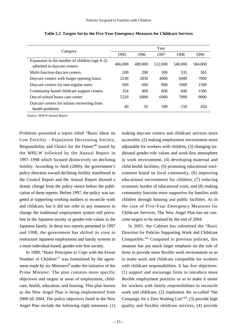|                                                                                 | Year    |         |         |         |         |  |  |
|---------------------------------------------------------------------------------|---------|---------|---------|---------|---------|--|--|
| Category                                                                        | 1995    | 1996    | 1997    | 1998    | 1999    |  |  |
| Expansion in the number of children (age $0-2$ )<br>admitted to daycare centers | 466,000 | 489,000 | 512,000 | 540,000 | 584,000 |  |  |
| Multi-function daycare centers                                                  | 200     | 200     | 300     | 535     | 365     |  |  |
| Daycare centers with longer opening hours                                       | 2530    | 2830    | 4000    | 6000    | 7000    |  |  |
| Daycare centers for non-regular users                                           | 600     | 600     | 800     | 1000    | 1500    |  |  |
| Community-based childcare support centers                                       | 354     | 400     | 600     | 840     | 1500    |  |  |
| Out-of-school hours care center                                                 | 5220    | 6000    | 6900    | 7900    | 9000    |  |  |
| Daycare centers for infants recovering from<br>health problems                  | 40      | 50      | 100     | 150     | 450     |  |  |

**Table 2.2 Targets Set by the Five-Year Emergency Measures for Childcare Services**

Source: *MHLW Annual Report*

Problems presented a report titled "Basic Ideas on Low Fertility - Population Decreasing Society, Responsibility and Choice for the Future"6 issued by the MHLW followed by the Annual Report in 1997–1998 which focused distinctively on declining fertility. According to Atoh (2000), the government's policy direction toward declining fertility manifested in the Council Report and the Annual Report showed a drastic change from the policy stance before the publication of these reports. Before 1997, the policy was targeted at supporting working mothers to reconcile work and childcare, but it did not refer to any measures to change the traditional employment system still prevalent in the Japanese society or gender-role values in the Japanese family. In these two reports presented in 1997 and 1998, the government has shifted its view to restructure Japanese employment and family systems to a more individual-based, gender-role free society.

In 1999, "Basic Principles to Cope with the Fewer Number of Children"<sup>7</sup> was formulated by the agreement made by six Ministers $8$  under the initiative of the Prime Minister. The plan contains more specific objectives and targets in areas of employment, childcare, health, education, and housing. This plan known as the New Angel Plan is being implemented from 2000 till 2004. The policy objectives listed in the New Angel Plan include the following eight measures: (1)

making daycare centers and childcare services more accessible, (2) making employment environment more adjustable for workers with children, (3) changing traditional gender-role values and work-first atmosphere in work environment, (4) developing maternal and child health facilities, (5) promoting educational environment based on local community, (6) improving educational environment for children, (7) reducing economic burden of educational costs, and (8) making community function more supportive for families with children through housing and public facilities. As in the case of Five-Year Emergency Measures for Childcare Services, The New Angel Plan has set concrete targets to be attained by the end of 2004.

In 2001, the Cabinet has submitted the "Basic Direction for Policies Supporting Work and Childcare Compatible."<sup>9</sup> Compared to previous policies, this measure has put much larger emphasis on the role of firms to provide more flexible work environment so as to make work and childcare compatible for workers with childcare responsibilities. It has five objectives: (1) support and encourage firms to introduce more flexible employment practices so as to make it easier for workers with family responsibilities to reconcile work and childcare, (2) implement the so-called "the Campaign for a Zero Waiting List"10, (3) provide high quality and flexible childcare services, (4) provide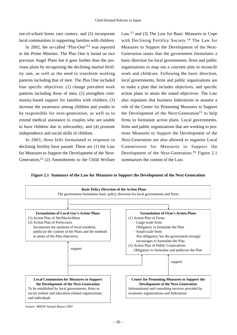out-of-school hours care centers, and (5) incorporate local communities in supporting families with children.

In 2002, the so-called "Plus-One"<sup>11</sup> was reported to the Prime Minister. The Plus One is based on two previous Angel Plans but it goes further than the previous plans by recognizing the declining marital fertility rate, as well as the need to transform working patterns including that of men. The Plus One included four specific objectives: (1) change prevalent work patterns including those of men, (2) strengthen community-based support for families with children, (3) increase the awareness among children and youths to be responsible for next-generation, as well as to extend medical assistance to couples who are unable to have children due to infecundity, and (4) promote independence and social skills of children.

In 2003, three bills formulated in response to declining fertility have passed. These are (1) the Law for Measures to Support the Development of the Next-Generation,  $12$  (2) Amendments to the Child Welfare Law,13 and (3) The Law for Basic Measures to Cope with Declining Fertility Society.<sup>14</sup> The Law for Measures to Support the Development of the Next-Generation states that the government formulates a basic direction for local governments, firms and public organizations to map out a concrete plan to reconcile work and childcare. Following the basic direction, local governments, firms and public organizations are to make a plan that includes objectives, and specific action plans to attain the stated objectives. The Law also stipulates that business federations to assume a role of the Center for Promoting Measures to Support the Development of the Next-Generation<sup>15</sup> to help firms to formulate action plans. Local governments, firms and public organizations that are working to promote Measures to Support the Development of the Next-Generation are also allowed to organize Local Commission for Measures to Support the Development of the Next-Generation.<sup>16</sup> Figure 2.1 summarizes the content of the Law.

**Figure 2.1 Summary of the Law for Measures to Support the Development of the Next-Generation**

![](_page_20_Figure_6.jpeg)

Source: *MHLW Annual Report 2003*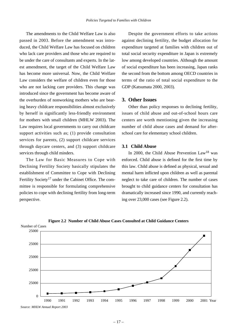The amendments to the Child Welfare Law is also passed in 2003. Before the amendment was introduced, the Child Welfare Law has focused on children who lack care providers and those who are required to be under the care of consultants and experts. In the latest amendment, the target of the Child Welfare Law has become more universal. Now, the Child Welfare Law considers the welfare of children even for those who are not lacking care providers. This change was introduced since the government has become aware of the overburden of nonworking mothers who are bearing heavy childcare responsibilities almost exclusively by herself in significantly less-friendly environment for mothers with small children (MHLW 2003). The Law requires local governments to carry out childcare support activities such as; (1) provide consultation services for parents, (2) support childcare services through daycare centers, and (3) support childcare services through child minders.

The Law for Basic Measures to Cope with Declining Fertility Society basically stipulates the establishment of Committee to Cope with Declining Fertility Society<sup>17</sup> under the Cabinet Office. The committee is responsible for formulating comprehensive policies to cope with declining fertility from long-term perspective.

Despite the government efforts to take actions against declining fertility, the budget allocation for expenditure targeted at families with children out of total social security expenditure in Japan is extremely low among developed countries. Although the amount of social expenditure has been increasing, Japan ranks the second from the bottom among OECD countries in terms of the ratio of total social expenditure to the GDP (Katsumata 2000, 2003).

# **3. Other Issues**

Other than policy responses to declining fertility, issues of child abuse and out-of-school hours care centers are worth mentioning given the increasing number of child abuse cases and demand for afterschool care for elementary school children.

#### **3.1 Child Abuse**

In 2000, the Child Abuse Prevention  $Law<sup>18</sup>$  was enforced. Child abuse is defined for the first time by this law. Child abuse is defined as physical, sexual and mental harm inflicted upon children as well as parental neglect to take care of children. The number of cases brought to child guidance centers for consultation has dramatically increased since 1990, and currently reaching over 23,000 cases (see Figure 2.2).

![](_page_21_Figure_8.jpeg)

![](_page_21_Figure_9.jpeg)

Source: *MHLW Annual Report 2003*

Number of Cases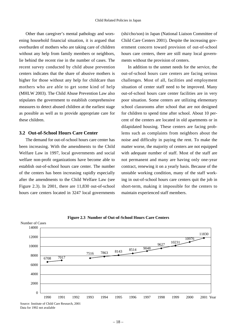Other than caregiver's mental pathology and worsening household financial situation, it is argued that overburden of mothers who are taking care of children without any help from family members or neighbors, lie behind the recent rise in the number of cases. The recent survey conducted by child abuse prevention centers indicates that the share of abusive mothers is higher for those without any help for childcare than mothers who are able to get some kind of help (MHLW 2003). The Child Abuse Prevention Law also stipulates the government to establish comprehensive measures to detect abused children at the earliest stage as possible as well as to provide appropriate care for these children.

# **3.2 Out-of-School Hours Care Center**

The demand for out-of-school hours care center has been increasing. With the amendments to the Child Welfare Law in 1997, local governments and social welfare non-profit organizations have become able to establish out-of-school hours care center. The number of the centers has been increasing rapidly especially after the amendments to the Child Welfare Law (see Figure 2.3). In 2001, there are 11,830 out-of-school hours care centers located in 3247 local governments

(shi/cho/son) in Japan (National Liaison Committee of Child Care Centers 2001). Despite the increasing government concern toward provision of out-of-school hours care centers, there are still many local governments without the provision of centers.

In addition to the unmet needs for the service, the out-of-school hours care centers are facing serious challenges. Most of all, facilities and employment situation of center staff need to be improved. Many out-of-school hours care center facilities are in very poor situation. Some centers are utilizing elementary school classrooms after school that are not designed for children to spend time after school. About 10 percent of the centers are located in old apartments or in dilapidated housing. These centers are facing problems such as complaints from neighbors about the noise and difficulty in paying the rent. To make the matter worse, the majority of centers are not equipped with adequate number of staff. Most of the staff are not permanent and many are having only one-year contract, renewing it on a yearly basis. Because of the unstable working condition, many of the staff working in out-of-school hours care centers quit the job in short-term, making it impossible for the centers to maintain experienced staff members.

![](_page_22_Figure_6.jpeg)

**Figure 2.3 Number of Out-of-School Hours Care Centers**

Data for 1992 not available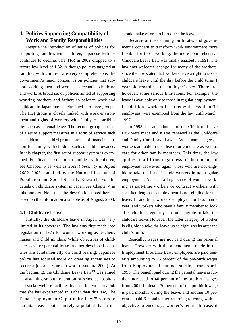# **4. Policies Supporting Compatibility of Work and Family Responsibilities**

Despite the introduction of series of policies for supporting families with children, Japanese fertility continues to decline. The TFR in 2002 dropped to a record low level of 1.32. Although policies targeted at families with children are very comprehensive, the government's major concern is on policies that support working men and women to reconcile childcare and work. A broad set of policies aimed at supporting working mothers and fathers to balance work and childcare in Japan may be classified into three groups. The first group is closely linked with work environment and rights of workers with family responsibilities such as parental leave. The second group consists of a set of support measures in a form of service such as childcare. The third group consists of financial support for family with children such as child allowance. In this chapter, the first set of support system is examined. For financial support to families with children, see Chapter 5 as well as *Social Security in Japan 2002–2003* compiled by the National Institute of Population and Social Security Research. For the details on childcare system in Japan, see Chapter 4 in this booklet. Note that the description noted here is based on the information available as of August, 2003.

# **4.1 Childcare Leave**

Initially, the childcare leave in Japan was very limited in its coverage. The law was first made into legislation in 1975 for women working as teachers, nurses and child minders. While objectives of childcare leave or parental leave in other developed countries are fundamentally on child rearing, Japanese policy has focused more on creating incentives to secure a job and return to work (Tsumura 2002). At the beginning, the Childcare Leave Law<sup>19</sup> was aimed at sustaining smooth operation of schools, hospitals and social welfare facilities by securing women a job that she has experienced in. Other than this law, The Equal Employment Opportunity Law<sup>20</sup> refers to parental leave, but it merely stipulated that firms should make efforts to introduce the leave.

Because of the declining birth rates and government's concern to transform work environment more flexible for those working, the more comprehensive Childcare Leave Law was finally enacted in 1991. The law was welcome change for many of the workers, since the law stated that workers have a right to take a childcare leave until the day before the child turns 1 year old regardless of employee's sex. There are, however, some serious limitations. For example, the leave is available only to those in regular employment. In addition, workers in firms with less than 30 employees were exempted from the law until March, 1997.

In 1995, the amendments to the Childcare Leave Law were made and it was renewed as the Childcare and Family Care Leave Law. $2<sup>1</sup>$  As the name suggests, workers are able to take leave for childcare as well as care for other family members. This time, the law applies to all firms regardless of the number of employees. However, again, those who are not eligible to take the leave include workers in non-regular employment. As such, a large share of women working as part-time workers or contract workers with specified length of employment is not eligible for the leave. In addition, workers employed for less than a year, and workers who have a family member to look after children regularly, are not eligible to take the childcare leave. However, the latter category of worker is eligible to take the leave up to eight weeks after the child's birth.

Basically, wages are not paid during the parental leave. However with the amendments made in the Employment Insurance Law, employees are paid benefits amounting to 25 percent of the pre-birth wages from Employment Insurance starting from April, 1995. The benefit paid during the parental leave is further increased to 40 percent of the pre-birth wages from 2001. In detail, 30 percent of the pre-birth wage is paid monthly during the leave, and another 10 percent is paid 6 months after returning to work, with an objective to encourage worker's return. In case, if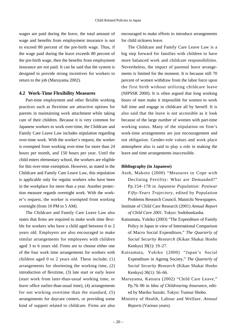wages are paid during the leave, the total amount of wage and benefits from employment insurance is not to exceed 80 percent of the pre-birth wage. Thus, if the wage paid during the leave exceeds 80 percent of the pre-birth wage, then the benefits from employment insurance are not paid. It can be said that the system is designed to provide strong incentives for workers to return to the job (Maruyama 2002).

#### **4.2 Work-Time Flexibility Measures**

Part-time employment and other flexible working practices such as flexitime are attractive options for parents in maintaining work attachment while taking care of their children. Because it is very common for Japanese workers to work over-time, the Childcare and Family Care Leave Law includes stipulation regarding over-time work. With the worker's request, the worker is exempted from working over-time for more than 24 hours per month, and 150 hours per year. Until the child enters elementary school, the workers are eligible for this over-time exemption. However, as stated in the Childcare and Family Care Leave Law, this stipulation is applicable only for regular workers who have been in the workplace for more than a year. Another protection measure regards overnight work. With the worker's request, the worker is exempted from working overnight (from 10 PM to 5 AM).

The Childcare and Family Care Leave Law also states that firms are required to make work time flexible for workers who have a child aged between 0 to 2 years old. Employers are also encouraged to make similar arrangements for employees with children aged 3 to 6 years old. Firms are to choose either one of the four work time arrangements for workers with children aged 0 to 2 years old. These include; (1) arrangements for shortening the working time, (2) introduction of flexitime, (3) late start or early leave (start work from later-than-usual working time, or leave office earlier-than-usual time), (4) arrangements for not working overtime than the standard, (5) arrangements for daycare centers, or providing some kind of support related to childcare. Firms are also encouraged to make efforts to introduce arrangements for child sickness leave.

The Childcare and Family Care Leave Law is a big step forward for families with children to have more balanced work and childcare responsibilities. Nevertheless, the impact of parental leave arrangements is limited for the moment. It is because still 70 percent of women withdraw from the labor force upon the first birth without utilizing childcare leave (NIPSSR 2000). It is often argued that long working hours of men make it impossible for women to work full time and engage in childcare all by herself. It is also said that the leave is not accessible as it look because of the large number of women with part-time working status. Many of the stipulation on firm's work-time arrangements are just encouragement and not obligation. Gender-role values and work place atmosphere also is said to play a role in making the leave and time arrangements inaccessible.

#### **Bibliography (in Japanese)**

- Atoh, Makoto (2000) "Measures to Cope with Declining Fertility: What are Demanded?" Pp.154–178 in *Japanese Population: Postwar Fifty-Years Trajectory*, edited by Population Problems Research Council. Mainichi Newspapers.
- Institute of Child Care Research (2001) *Annual Report of Child Care 2001*. Tokyo: Sodobunkasha.
- Katsumata, Yukiko (2003) "The Expenditure of Family Policy in Japan in view of International Comparison of Macro Social Expenditure," *The Quarterly of Social Security Research* (Kikan Shakai Hosho Kenkyu) 39(1): 19–27.
- Katsumata, Yukiko (2000) "Japan's Social Expenditure in Ageing Society," *The Quarterly of Social Security Research* (Kikan Shakai Hosho Kenkyu) 36(1): 56–66.
- Maruyama, Katsura (2002) "Child Care Leave," Pp.76–96 in *Idea of Childrearing Insuranc*e, edited by Mariko Suzuki. Tokyo: Tsutsui Shobo.
- Ministry of Health, Labour and Welfare. *Annual Report*s (Various years).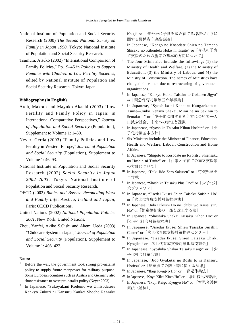- National Institute of Population and Social Security Research (2000) *The Second National Survey on Family in Japan 1998*. Tokyo: National Institute of Population and Social Security Research.
- Tsumura, Atsuko (2002) "International Comparison of Family Policies," Pp.19–46 in *Policies to Support Families with Children in Low Fertility Societies*, edited by National Institute of Population and Social Security Research. Tokyo: Japan.

#### **Bibliography (in English)**

- Atoh, Makoto and Mayuko Akachi (2003) "Low Fertility and Family Policy in Japan: in International Comparative Perspectives," *Journal of Population and Social Security* (Population), Supplement to Volume 1: 1–30.
- Neyer, Gerda (2003) "Family Policies and Low Fertility in Western Europe," *Journal of Population and Social Security* (Population), Supplement to Volume 1: 46–93.
- National Institute of Population and Social Security Research (2002) *Social Security in Japan 2002–2003*. Tokyo: National Institute of Population and Social Security Research.
- OECD (2003) *Babies and Bosses: Reconciling Work and Family Life: Austria, Ireland and Japan*, Paris: OECD Publications.
- United Nations (2002) *National Population Policies 2001*, New York: United Nations.
- Zhou, Yanfei, Akiko S.Oishi and Akemi Ueda (2003) "Childcare System in Japan," *Journal of Population and Social Security* (Population), Supplement to Volume 1: 408–422.

#### **Notes:**

- Before the war, the government took strong pro-natalist policy to supply future manpower for military purpose. Some European countries such as Austria and Germany also show resistance to overt pro-natalist policy (Neyer 2003).
- <sup>2</sup> In Japanese, "Sukoyakani Kodomo wo Umisodateru Kankyo Zukuri ni Kansuru Kankei Shocho Renraku

Kaigi" or 「健やかに子供を産み育てる環境づくりに 関する関係省庁連絡会議」

- <sup>3</sup> In Japanese, "Kongo no Kosodate Shien no Tameno Shisaku no Kihonteki Hoko ni Tsuite" or「今後の子育 て支援のための施策の基本的方向について」
- <sup>4</sup> The four Ministries include the following: (1) the Ministry of Health and Welfare, (2) the Ministry of Education, (3) the Ministry of Labour, and (4) the Ministry of Construction. The names of Ministries have changed since then due to restructuring of government organizations.
- <sup>5</sup> In Japanese, "Kinkyu Hoiku Taisaku to Gokanen Jigyo" or「緊急保育対策等五カ年事業」
- <sup>6</sup> In Japanese, "Syoshika ni Kansuru Kangaekata ni Tsuite—Jinko Gensyo Shakai, Mirai he no Sekinin to Sentaku—" or「少子化に関する考え方について―人 口減少社会、未来への責任と選択―」
- In Japanease, "Syoshika Taisaku Kihon Hoshin" or 「少 子化対策基本方針」
- <sup>8</sup> Six Ministers include the Minister of Finance, Education, Health and Welfare, Labour, Construction and Home Affairs.
- <sup>9</sup> In Japanese, "Shigoto to Kosodate no Ryoritsu Shiensaku no Hoshin ni Tsuite" or 「仕事と子育ての両立支援策 の方針について|
- <sup>10</sup> In Japanese, "Taiki Jido Zero Sakusen" or「待機児童ゼ ロ作戦」
- <sup>11</sup> In Japanese, "Shoshika Taisaku Plus One" or「少子化対 策プラスワン」
- <sup>12</sup> In Japanese, "Jisedai Ikusei Shien Taisaku Suishin Ho" or「次世代育成支援対策推進法」
- <sup>13</sup> In Japanese, "Jido Fukushi Ho no Ichibu wo Kaisei suru Ho" or「児童福祉法の一部を改正する法」
- <sup>14</sup> In Japanese, "Shoshika Shakai Taisaku Kihon Ho" or 「少子化社会対策基本法」
- <sup>15</sup> In Japanese, "Jisedai Ikusei Shien Taisaku Suishin Center" or「次世代育成支援対策推進センター」
- <sup>16</sup> In Japanese, "Jisedai Ikusei Shien Taisaku Chiiki Kyogikai" or「次世代育成支援対策地域協議会」
- <sup>17</sup> In Japanease, "Syoshika Shakai Taisaku Kaigi" or 「少 子化社会対策会議」
- <sup>18</sup> In Japanese, "Jido Gyakutai no Boshi to ni Kansuru Horitsu" or「児童虐待の防止等に関する法律」
- <sup>19</sup> In Japanese, "Ikuji Kyugyo Ho" or 「育児休業法」
- <sup>20</sup> In Japanese, "Koyo Kikai Kinto Ho" or 「雇用機会均等法」
- <sup>21</sup> In Japanese, "Ikuji Kaigo Kyugyo Ho" or 「育児介護休 業法 (通称) |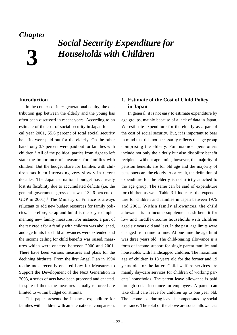# *Chapter*

**3**

# *Social Security Expenditure for Households with Children*

# **Introduction**

In the context of inter-generational equity, the distribution gap between the elderly and the young has often been discussed in recent years. According to an estimate of the cost of social security in Japan for fiscal year 2001, 55.6 percent of total social security benefits were paid out for the elderly. On the other hand, only 3.7 percent were paid out for families with children.<sup>1</sup> All of the political parties from right to left state the importance of measures for families with children. But the budget share for families with children has been increasing very slowly in recent decades. The Japanese national budget has already lost its flexibility due to accumulated deficits (i.e. the general government gross debt was 132.6 percent of GDP in  $2001$ .<sup>2</sup> The Ministry of Finance is always reluctant to add new budget resources for family policies. Therefore, scrap and build is the key to implementing new family measures. For instance, a part of the tax credit for a family with children was abolished, and age limits for child allowances were extended and the income ceiling for child benefits was raised, measures which were enacted between 2000 and 2001. There have been various measures and plans for the declining birthrate. From the first Angel Plan in 1994 to the most recently enacted Law for Measures to Support the Development of the Next Generation in 2003, a series of acts have been proposed and enacted. In spite of them, the measures actually enforced are limited to within budget constraints.

This paper presents the Japanese expenditure for families with children with an international comparison.

# **1. Estimate of the Cost of Child Policy in Japan**

In general, it is not easy to estimate expenditure by age groups, mainly because of a lack of data in Japan. We estimate expenditure for the elderly as a part of the cost of social security. But, it is important to bear in mind that this not necessarily reflects the age group comprising the elderly. For instance, pensioners include not only the elderly but also disability benefit recipients without age limits; however, the majority of pension benefits are for old age and the majority of pensioners are the elderly. As a result, the definition of expenditure for the elderly is not strictly attached to the age group. The same can be said of expenditure for children as well. Table 3.1 indicates the expenditure for children and families in Japan between 1975 and 2001. Within family allowances, the child allowance is an income supplement cash benefit for low and middle-income households with children aged six years old and less. In the past, age limits were changed from time to time. At one time the age limit was three years old. The child-rearing allowance is a form of income support for single parent families and households with handicapped children. The maximum age of children is 18 years old for the former and 19 years old for the latter. Child welfare services are mainly day-care services for children of working parents' households. The parent leave allowance is paid through social insurance for employees. A parent can take child care leave for children up to one year old. The income lost during leave is compensated by social insurance. The total of the above are social allowances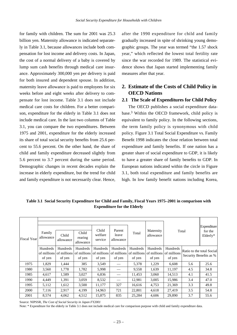for family with children. The sum for 2001 was 25.3 billion yen. Maternity allowance is indicated separately in Table 3.1, because allowances include both compensation for lost income and delivery costs. In Japan, the cost of a normal delivery of a baby is covered by lump sum cash benefits through medical care insurance. Approximately 300,000 yen per delivery is paid for both insured and dependent spouse. In addition, maternity leave allowance is paid to employees for six weeks before and eight weeks after delivery to compensate for lost income. Table 3.1 does not include medical care costs for children. For a better comparison, expenditure for the elderly in Table 3.1 does not include medical care. In the last two columns of Table 3.1, you can compare the two expenditures. Between 1975 and 2001, expenditure for the elderly increased its share of total social security benefits from 25.6 percent to 55.6 percent. On the other hand, the share of child and family expenditure decreased slightly from 5.6 percent to 3.7 percent during the same period. Demographic changes in recent decades explain the increase in elderly expenditure, but the trend for child and family expenditure is not necessarily clear. Hence,

after the 1990 expenditure for child and family gradually increased in spite of shrinking young demographic groups. The year was termed "the 1.57 shock year," which reflected the lowest total fertility rate since the war recorded for 1989. The statistical evidence shows that Japan started implementing family measures after that year.

# **2. Estimate of the Costs of Child Policy in OECD Nations**

#### **2.1 The Scale of Expenditures for Child Policy**

The OECD publishes a social expenditure database.<sup>3</sup> Within the OECD framework, child policy is equivalent to family policy. In the following sections, the term family policy is synonymous with child policy. Figure 3.1 Total Social Expenditure vs. Family Benefit 1998 indicates the close relation between total expenditure and family benefits. If one nation has a greater share of social expenditure to GDP, it is likely to have a greater share of family benefits to GDP. In European nations indicated within the circle in Figure 3.1, both total expenditure and family benefits are high. In low family benefit nations including Korea,

**Table 3.1 Social Security Expenditure for Child and Family, Fiscal Years 1975–2001 in comparison with Expenditure for the Elderly**

| <b>Fiscal Year</b> | Family<br>allowance | Child<br>allowance                                   | Child<br>rearing<br>allowance     | Child<br>welfare<br>service       | Parent<br>leave<br>allowance | Total                                         | Maternity<br>allowance            | Total                             |     | Expenditure<br>for the<br>Elderly*                  |  |
|--------------------|---------------------|------------------------------------------------------|-----------------------------------|-----------------------------------|------------------------------|-----------------------------------------------|-----------------------------------|-----------------------------------|-----|-----------------------------------------------------|--|
|                    | Hundreds<br>of yen  | <b>Hundreds</b><br>of millions of millions<br>of yen | Hundreds<br>of millions<br>of yen | Hundreds<br>of millions<br>of yen | Hundreds<br>of yen           | Hundreds<br>of millions of millions<br>of yen | Hundreds<br>of millions<br>of yen | Hundreds<br>of millions<br>of yen |     | Ratio to the total Social<br>Security Benefits as % |  |
| 1975               | 1,829               | 1,444                                                | 385                               | 3,549                             |                              | 5,378                                         | 1,229                             | 6,608                             | 5.6 | 25.6                                                |  |
| 1980               | 3,560               | 1,778                                                | 1,782                             | 5,998                             |                              | 9,558                                         | 1,639                             | 11,197                            | 4.5 | 34.8                                                |  |
| 1985               | 4,617               | 1,589                                                | 3,027                             | 6,836                             |                              | 11,453                                        | 3,060                             | 14,513                            | 4.1 | 41.5                                                |  |
| 1990               | 4,449               | 1,391                                                | 3,059                             | 8,532                             |                              | 12,981                                        | 3,005                             | 15,986                            | 3.4 | 47.0                                                |  |
| 1995               | 5,112               | 1,612                                                | 3,500                             | 11,177                            | 327                          | 16,616                                        | 4,753                             | 21,369                            | 3.3 | 49.8                                                |  |
| 2000               | 7,116               | 2,917                                                | 4,199                             | 14,963                            | 721                          | 22,801                                        | 4,618                             | 27,419                            | 3.5 | 54.8                                                |  |
| 2001               | 8,574               | 4,062                                                | 4,512                             | 15,875                            | 835                          | 25,284                                        | 4.606                             | 29,890                            | 3.7 | 55.6                                                |  |

Source: NIPSSR, *The Cost of Social Security in Japan FY2001*

Note: \* Expenditure for the elderly in Table 3.1 does not include medical care for comparison purpose with child and family expenditure data.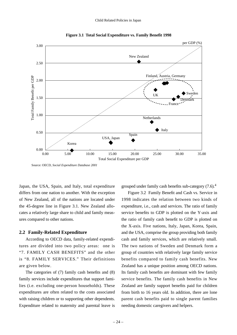![](_page_28_Figure_1.jpeg)

**Figure 3.1 Total Social Expenditure vs. Family Benefit 1998**

Source: OECD, *Social Expenditure Database 2001*

Japan, the USA, Spain, and Italy, total expenditure differs from one nation to another. With the exception of New Zealand, all of the nations are located under the 45-degree line in Figure 3.1. New Zealand allocates a relatively large share to child and family measures compared to other nations.

#### **2.2 Family-Related Expenditure**

According to OECD data, family-related expenditures are divided into two policy areas: one is "7. FAMILY CASH BENEFITS" and the other is "8. FAMILY SERVICES." Their definitions are given below.

The categories of (7) family cash benefits and (8) family services include expenditures that support families (i.e. excluding one-person households). These expenditures are often related to the costs associated with raising children or to supporting other dependents. Expenditure related to maternity and parental leave is

grouped under family cash benefits sub-category (7.6).4

Figure 3.2 Family Benefit and Cash vs. Service in 1998 indicates the relation between two kinds of expenditure, i.e., cash and services. The ratio of family service benefits to GDP is plotted on the Y-axis and the ratio of family cash benefit to GDP is plotted on the X-axis. Five nations, Italy, Japan, Korea, Spain, and the USA, comprise the group providing both family cash and family services, which are relatively small. The two nations of Sweden and Denmark form a group of countries with relatively large family service benefits compared to family cash benefits. New Zealand has a unique position among OECD nations. Its family cash benefits are dominant with few family service benefits. The family cash benefits in New Zealand are family support benefits paid for children from birth to 16 years old. In addition, there are lone parent cash benefits paid to single parent families needing domestic caregivers and helpers.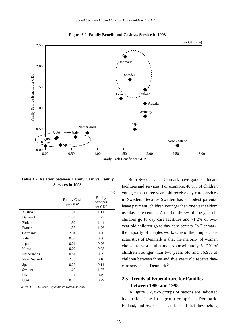![](_page_29_Figure_1.jpeg)

**Figure 3.2 Family Benefit and Cash vs. Service in 1998**

**Table 3.2 Relation between Family Cash vs. Family Services in 1998**

|                    |                    | $(\% )$         |
|--------------------|--------------------|-----------------|
|                    | <b>Family Cash</b> | Family          |
|                    | per GDP            | <b>Services</b> |
|                    |                    | per GDP         |
| Austria            | 1.91               | 1.11            |
| Denmark            | 1.54               | 2.23            |
| Finland            | 1.92               | 1.44            |
| France             | 1.55               | 1.26            |
| Germany            | 2.04               | 0.80            |
| Italy              | 0.58               | 0.30            |
| Japan              | 0.21               | 0.26            |
| Korea              | 0.02               | 0.08            |
| <b>Netherlands</b> | 0.81               | 0.39            |
| New Zealand        | 2.58               | 0.10            |
| Spain              | 0.29               | 0.11            |
| Sweden             | 1.63               | 1.87            |
| UK                 | 1.71               | 0.49            |
| USA                | 0.22               | 0.29            |

Source: OECD, *Social Expenditure Database 2001*

Both Sweden and Denmark have good childcare facilities and services. For example, 40.9% of children younger than three years old receive day care services in Sweden. Because Sweden has a modest parental leave payment, children younger than one year seldom use day-care centers. A total of 46.5% of one-year old children go to day care facilities and 71.2% of twoyear old children go to day care centers. In Denmark, the majority of couples work. One of the unique characteristics of Denmark is that the majority of women choose to work full-time. Approximately 51.2% of children younger than two years old and 86.9% of children between three and five years old receive daycare services in Denmark.5

# **2.3 Trends of Expenditure for Families between 1980 and 1998**

In Figure 3.2, two groups of nations are indicated by circles. The first group comprises Denmark, Finland, and Sweden. It can be said that they belong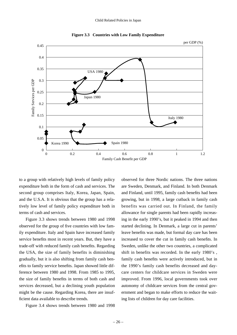![](_page_30_Figure_1.jpeg)

**Figure 3.3 Countries with Low Family Expenditure**

to a group with relatively high levels of family policy expenditure both in the form of cash and services. The second group comprises Italy, Korea, Japan, Spain, and the U.S.A. It is obvious that the group has a relatively low level of family policy expenditure both in terms of cash and services.

Figure 3.3 shows trends between 1980 and 1998 observed for the group of five countries with low family expenditure. Italy and Spain have increased family service benefits most in recent years. But, they have a trade-off with reduced family cash benefits. Regarding the USA, the size of family benefits is diminishing gradually, but it is also shifting from family cash benefits to family service benefits. Japan showed little difference between 1980 and 1998. From 1985 to 1995, the size of family benefits in terms of both cash and services decreased, but a declining youth population might be the cause. Regarding Korea, there are insufficient data available to describe trends.

Figure 3.4 shows trends between 1980 and 1998

observed for three Nordic nations. The three nations are Sweden, Denmark, and Finland. In both Denmark and Finland, until 1995, family cash benefits had been growing, but in 1998, a large cutback in family cash benefits was carried out. In Finland, the family allowance for single parents had been rapidly increasing in the early 1990's, but it peaked in 1994 and then started declining. In Denmark, a large cut in parents' leave benefits was made, but formal day care has been increased to cover the cut in family cash benefits. In Sweden, unlike the other two countries, a complicated shift in benefits was recorded. In the early 1980's , family cash benefits were actively introduced, but in the 1990's family cash benefits decreased and daycare centers for childcare services in Sweden were improved. From 1996, local governments took over autonomy of childcare services from the central government and began to make efforts to reduce the waiting lists of children for day care facilities.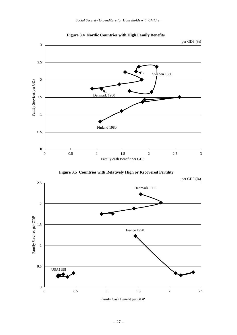![](_page_31_Figure_1.jpeg)

**Figure 3.4 Nordic Countries with High Family Benefits**

![](_page_31_Figure_3.jpeg)

![](_page_31_Figure_4.jpeg)

![](_page_31_Figure_5.jpeg)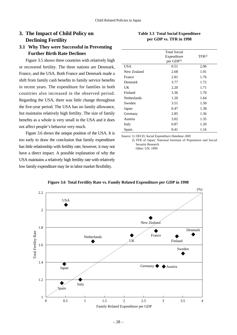# **3. The Impact of Child Policy on Declining Fertility**

# **3.1 Why They were Successful in Preventing Further Birth Rate Declines**

Figure 3.5 shows three countries with relatively high or recovered fertility. The three nations are Denmark, France, and the USA. Both France and Denmark made a shift from family cash benefits to family service benefits in recent years. The expenditure for families in both countries also increased in the observed period. Regarding the USA, there was little change throughout the five-year period. The USA has no family allowance, but maintains relatively high fertility. The size of family benefits as a whole is very small in the USA and it does not affect people's behavior very much.

Figure 3.6 shows the unique position of the USA. It is too early to draw the conclusion that family expenditure has little relationship with fertility rate; however, it may not have a direct impact. A possible explanation of why the USA maintains a relatively high fertility rate with relatively low family expenditure may lie in labor market flexibility.

| Table 3.3 Total Social Expenditure |
|------------------------------------|
| per GDP vs. TFR in 1998            |
|                                    |

|                    | <b>Total Social</b><br>Expenditure<br>per GDP <sup>1)</sup> | TFR <sup>2</sup> |
|--------------------|-------------------------------------------------------------|------------------|
| <b>USA</b>         | 0.51                                                        | 2.06             |
| New Zealand        | 2.68                                                        | 1.91             |
| France             | 2.81                                                        | 1.76             |
| Denmark            | 3.77                                                        | 1.72             |
| UK                 | 2.20                                                        | 1.71             |
| Finland            | 3.36                                                        | 1.70             |
| <b>Netherlands</b> | 1.20                                                        | 1.64             |
| Sweden             | 3.51                                                        | 1.50             |
| Japan              | 0.47                                                        | 1.38             |
| Germany            | 2.85                                                        | 1.36             |
| Austria            | 3.02                                                        | 1.35             |
| Italy              | 0.87                                                        | 1.20             |
| Spain              | 0.41                                                        | 1.16             |

Source: 1) OECD, *Social Expenditure Database 2001*

2) TFR of Japan: National Institute of Population and Social Security Research Other: UN, 1999

![](_page_32_Figure_9.jpeg)

#### **Figure 3.6 Total Fertility Rate vs. Family Related Expenditure per GDP in 1998**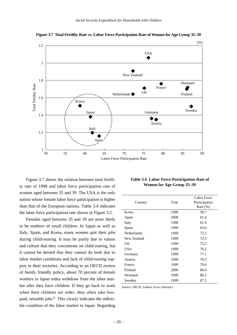![](_page_33_Figure_1.jpeg)

**Figure 3.7 Total Fertility Rate vs. Labor Force Participation Rate of Women for Age Group 35–39**

Figure 3.7 shows the relation between total fertility rate of 1998 and labor force participation rate of women aged between 35 and 39. The USA is the only nation whose female labor force participation is higher than that of the European nations. Table 3.4 indicates the labor force participation rate shown in Figure 3.2.

Females aged between 35 and 39 are most likely to be mothers of small children. In Japan as well as Italy, Spain, and Korea, many women quit their jobs during child-rearing. It may be partly due to values and culture that they concentrate on child-rearing, but it cannot be denied that they cannot do both due to labor market conditions and lack of child-rearing support in their societies. According to an OECD review of family friendly policy, about 70 percent of female workers in Japan today withdraw from the labor market after they have children. If they go back to work when their children are older, they often take lowpaid, unstable jobs.<sup>6</sup> This clearly indicates the inflexible condition of the labor market in Japan. Regarding

| Table 3.4 Labor Force Participation Rate of |
|---------------------------------------------|
| Women for Age Group 35–39                   |

|             |      | Labor Force   |
|-------------|------|---------------|
| Country     | Year | Participation |
|             |      | Rate $(\%)$   |
| Korea       | 1999 | 58.7          |
| Japan       | 2000 | 61.4          |
| Italy       | 1999 | 61.9          |
| Spain       | 1999 | 63.6          |
| Netherlands | 1999 | 72.2          |
| New Zealand | 1999 | 72.3          |
| UK          | 1999 | 75.2          |
| USA         | 1999 | 76.2          |
| Germany     | 1999 | 77.1          |
| Austria     | 1999 | 78.3          |
| France      | 1999 | 79.4          |
| Finland     | 2000 | 86.0          |
| Denmark     | 1999 | 86.2          |
| Sweden      | 1999 | 87.1          |

Source: OECD, *Labour Force Statistics*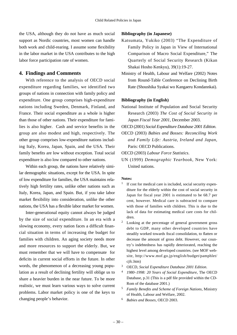the USA, although they do not have as much social support as Nordic countries, most women can handle both work and child-rearing. I assume some flexibility in the labor market in the USA contributes to the high labor force participation rate of women.

# **4. Findings and Comments**

With reference to the analysis of OECD social expenditure regarding families, we identified two groups of nations in connection with family policy and expenditure. One group comprises high-expenditure nations including Sweden, Denmark, Finland, and France. Their social expenditure as a whole is higher than those of other nations. Their expenditure for families is also higher. Cash and service benefits in the group are also modest and high, respectively. The other group comprises low-expenditure nations including Italy, Korea, Japan, Spain, and the USA. Their family benefits are low without exception. Total social expenditure is also low compared to other nations.

Within each group, the nations have relatively similar demographic situations, except for the USA. In spite of low expenditure for families, the USA maintains relatively high fertility rates, unlike other nations such as Italy, Korea, Japan, and Spain. But, if you take labor market flexibility into consideration, unlike the other nations, the USA has a flexible labor market for women.

Inter-generational equity cannot always be judged by the size of social expenditure. In an era with a slowing economy, every nation faces a difficult financial situation in terms of increasing the budget for families with children. An aging society needs more and more resources to support the elderly. But, we must remember that we will have to compensate for deficits in current social efforts in the future. In other words, the phenomenon of a decreasing young population as a result of declining fertility will oblige us to share a heavier burden in the near future. To be more realistic, we must learn various ways to solve current problems. Labor market policy is one of the keys to changing people's behavior.

#### **Bibliography (in Japanese)**

- Katsumata, Yukiko (2003) "The Expenditure of Family Policy in Japan in View of International Comparison of Macro Social Expenditure," The Quarterly of Social Security Research (Kikan Shakai Hosho Kenkyu), 39(1):19-27.
- Ministry of Health, Labour and Welfare (2002) Notes from Round-Table Conference on Declining Birth Rate (Shoushika Syakai wo Kangaeru Kondannkai).

#### **Bibliography (in English)**

National Institute of Population and Social Security Research (2003) *The Cost of Social Security in Japan Fiscal Year 2001*, December 2003.

OECD (2001) *Social Expenditure Database 2001 Edition*.

OECD (2003) *Babies and Bosses: Reconciling Work and Family Life: Austria, Ireland and Japan*, Paris: OECD Publications.

OECD (2003) *Labour Force Statistics*.

UN (1999) *Demographic Yearbook*, New York: United nations.

#### **Notes:**

- If cost for medical care is included, social security expenditure for the elderly within the cost of social security in Japan for fiscal year 2001 is estimated to be 68.7 per cent, however. Medical care is subtracted to compare with those of families with children. This is due to the lack of data for estimating medical care costs for children.
- <sup>2</sup> Looking at the percentage of general government gross debt to GDP, many other developed countries have steadily worked towards fiscal consolidation, to flatten or decrease the amount of gross debt. However, our country's indebtedness has rapidly deteriorated, reaching the highest level among developed countries. (see MOF website, http://www.mof.go.jp/english/budget/pamphlet/ cjfc.htm)
- <sup>3</sup> OECD, *Social Expenditure Database 2001 Edition*.
- <sup>4</sup> *1980–1998: 20 Years of Social Expenditure*, The OECD Database, p.31 (This is a pdf file provided within the CD-Rom of the database 2001.)
- <sup>5</sup> *Family Benefits and Scheme of Foreign Nations*, Ministry of Health, Labour and Welfare, 2002.
- <sup>6</sup> *Babies and Bosses*, OECD 2003.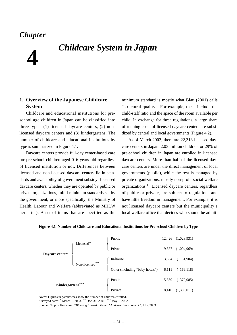# *Chapter*

# **4** *Childcare System in Japan*

# **1. Overview of the Japanese Childcare System**

Childcare and educational institutions for preschool age children in Japan can be classified into three types: (1) licensed daycare centers, (2) nonlicensed daycare centers and (3) kindergartens. The number of childcare and educational institutions by type is summarized in Figure 4.1.

Daycare centers provide full-day center-based care for pre-school children aged 0–6 years old regardless of licensed institution or not. Differences between licensed and non-licensed daycare centers lie in standards and availability of government subsidy. Licensed daycare centers, whether they are operated by public or private organizations, fulfill minimum standards set by the government, or more specifically, the Ministry of Health, Labour and Welfare (abbreviated as MHLW hereafter). A set of items that are specified as the

minimum standard is mostly what Blau (2001) calls "structural quality." For example, these include the child-staff ratio and the space of the room available per child. In exchange for these regulations, a large share of running costs of licensed daycare centers are subsidized by central and local governments (Figure 4.2).

As of March 2003, there are 22,313 licensed daycare centers in Japan. 2.03 million children, or 29% of pre-school children in Japan are enrolled in licensed daycare centers. More than half of the licensed daycare centers are under the direct management of local governments (public), while the rest is managed by private organizations, mostly non-profit social welfare organizations.<sup>1</sup> Licensed daycare centers, regardless of public or private, are subject to regulations and have little freedom in management. For example, it is not licensed daycare centers but the municipality's local welfare office that decides who should be admit-

![](_page_35_Figure_7.jpeg)

**Figure 4.1 Number of Childcare and Educational Institutions for Pre-school Children by Type**

Notes: Figures in parentheses show the number of children enrolled. Surveyed dates: \* March 1, 2003, \*\* Dec. 31, 2001, \*\*\* May 1, 2002. Source: Nippon Keidanren *"Working toward a Better Childcare Environment"*, July, 2003.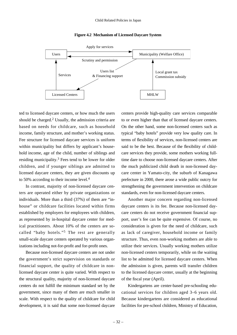![](_page_36_Figure_1.jpeg)

#### **Figure 4.2 Mechanism of Licensed Daycare System**

ted to licensed daycare centers, or how much the users should be charged. $2$  Usually, the admission criteria are based on needs for childcare, such as household income, family structure, and mother's working status. Fee structure for licensed daycare services is uniform within municipality but differs by applicant's household income, age of the child, number of siblings and residing municipality.3 Fees tend to be lower for older children, and if younger siblings are admitted to licensed daycare centers, they are given discounts up to 50% according to their income level.<sup>4</sup>

In contrast, majority of non-licensed daycare centers are operated either by private organizations or individuals. More than a third (37%) of them are "inhouse" or childcare facilities located within firms established by employers for employees with children, as represented by in-hospital daycare center for medical practitioners. About 10% of the centers are socalled "baby hotels."<sup>5</sup> The rest are generally small-scale daycare centers operated by various organizations including not-for-profit and for-profit ones.

Because non-licensed daycare centers are not under the government's strict supervision on standards or financial support, the quality of childcare in nonlicensed daycare center is quite varied. With respect to the structural quality, majority of non-licensed daycare centers do not fulfill the minimum standard set by the government, since many of them are much smaller in scale. With respect to the quality of childcare for child development, it is said that some non-licensed daycare

centers provide high-quality care services comparable to or even higher than that of licensed daycare centers. On the other hand, some non-licensed centers such as typical "baby hotels" provide very low quality care. In terms of flexibility of services, non-licensed centers are said to be the best. Because of the flexibility of childcare services they provide, some mothers working fulltime dare to choose non-licensed daycare centers. After the much publicized child death in non-licensed daycare center in Yamato-city, the suburb of Kanagawa prefecture in 2000, there arose a wide public outcry for strengthening the government intervention on childcare standards, even for non-licensed daycare centers.

Another major concern regarding non-licensed daycare centers is its fee. Because non-licensed daycare centers do not receive government financial support, user's fee can be quite expensive. Of course, no consideration is given for the need of childcare, such as lack of caregiver, household income or family structure. Thus, even non-working mothers are able to utilize their services. Usually working mothers utilize non-licensed centers temporarily, while on the waiting list to be admitted for licensed daycare centers. When the admission is given, parents will transfer children to the licensed daycare center, usually at the beginning of the fiscal year (April).

Kindergartens are center-based pre-schooling educational services for children aged 3–6 years old. Because kindergartens are considered as educational facilities for pre-school children, Ministry of Education,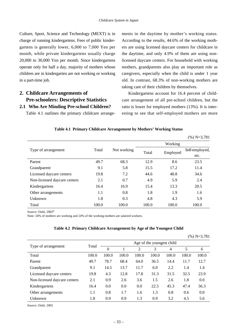Culture, Sport, Science and Technology (MEXT) is in charge of running kindergartens. Fees of public kindergartens is generally lower, 6,000 to 7,000 Yen per month, while private kindergartens usually charge 20,000 to 30,000 Yen per month. Since kindergartens operate only for half a day, majority of mothers whose children are in kindergarten are not working or working in a part-time job.

# **2. Childcare Arrangements of Pre-schoolers: Descriptive Statistics 2.1 Who Are Minding Pre-school Children?**

Table 4.1 outlines the primary childcare arrange-

ments in the daytime by mother's working status. According to the results, 44.6% of the working mothers are using licensed daycare centers for childcare in the daytime, and only 4.9% of them are using nonlicensed daycare centers. For household with working mothers, grandparents also play an important role as caregivers, especially when the child is under 1 year old. In contrast, 68.3% of non-working mothers are taking care of their children by themselves.

Kindergartens account for 16.4 percent of childcare arrangement of all pre-school children, but the ratio is lower for employed mothers (13%). It is interesting to see that self-employed mothers are more

|  |  |  |  |  |  | Table 4.1 Primary Childcare Arrangement by Mothers' Working Status |
|--|--|--|--|--|--|--------------------------------------------------------------------|
|--|--|--|--|--|--|--------------------------------------------------------------------|

|                              |       |             |       |          | $(\%)$ N=3,781 |
|------------------------------|-------|-------------|-------|----------|----------------|
|                              |       |             |       | Working  |                |
| Type of arrangement          | Total | Not working | Total | Employed | Self-employed, |
|                              |       |             |       |          | etc.           |
| Parent                       | 49.7  | 68.3        | 12.9  | 8.6      | 23.5           |
| Grandparent                  | 9.1   | 5.8         | 15.5  | 17.2     | 11.4           |
| Licensed daycare centers     | 19.8  | 7.2         | 44.6  | 48.8     | 34.6           |
| Non-licensed daycare centers | 2.1   | 0.7         | 4.9   | 5.9      | 2.4            |
| Kindergartens                | 16.4  | 16.9        | 15.4  | 13.3     | 20.5           |
| Other arrangements           | 1.1   | 0.8         | 1.8   | 1.9      | 1.6            |
| Unknown                      | 1.8   | 0.3         | 4.8   | 4.3      | 5.9            |
| Total                        | 100.0 | 100.0       | 100.0 | 100.0    | 100.0          |

Source: Oishi, 2002<sup>6</sup>

Note: 34% of mothers are working and 24% of the working mothers are salaried workers.

|  | Table 4.2 Primary Childcare Arrangement by Age of the Youngest Child |  |  |
|--|----------------------------------------------------------------------|--|--|
|  |                                                                      |  |  |

|                              |       |                           |       |       |       |                |       | $(\%)$ N=3,781 |  |
|------------------------------|-------|---------------------------|-------|-------|-------|----------------|-------|----------------|--|
|                              | Total | Age of the youngest child |       |       |       |                |       |                |  |
| Type of arrangement          |       | $\theta$                  |       | 2     | 3     | $\overline{4}$ | 5     | 6              |  |
| Total                        | 100.0 | 100.0                     | 100.0 | 100.0 | 100.0 | 100.0          | 100.0 | 100.0          |  |
| Parent                       | 49.7  | 78.7                      | 68.4  | 64.0  | 36.5  | 14.4           | 11.7  | 12.7           |  |
| Grandparent                  | 9.1   | 14.5                      | 13.7  | 11.7  | 6.0   | 2.2            | 1.4   | 1.4            |  |
| Licensed daycare centers     | 19.8  | 4.3                       | 12.8  | 17.8  | 31.3  | 31.5           | 32.5  | 23.9           |  |
| Non-licensed daycare centers | 2.1   | 0.9                       | 2.6   | 3.6   | 1.5   | 2.6            | 1.8   | 0.0            |  |
| Kindergartens                | 16.4  | 0.0                       | 0.0   | 0.0   | 22.5  | 45.3           | 47.4  | 56.3           |  |
| Other arrangements           | 1.1   | 0.8                       | 1.7   | 1.6   | 1.3   | 0.8            | 0.6   | 0.0            |  |
| Unknown                      | 1.8   | 0.9                       | 0.9   | 1.3   | 0.9   | 3.2            | 4.5   | 5.6            |  |

Source: Oishi, 2002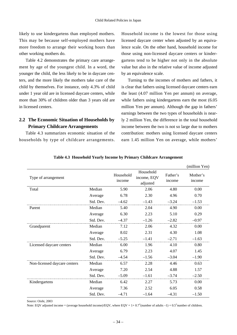likely to use kindergartens than employed mothers. This may be because self-employed mothers have more freedom to arrange their working hours than other working mothers do.

Table 4.2 demonstrates the primary care arrangement by age of the youngest child. In a word, the younger the child, the less likely to be in daycare centers, and the more likely the mothers take care of the child by themselves. For instance, only 4.3% of child under 1 year old are in licensed daycare centers, while more than 30% of children older than 3 years old are in licensed centers.

# **2.2 The Economic Situation of Households by Primary Childcare Arrangements**

Table 4.3 summarizes economic situation of the households by type of childcare arrangements. Household income is the lowest for those using licensed daycare center when adjusted by an equivalence scale. On the other hand, household income for those using non-licensed daycare centers or kindergartens tend to be higher not only in the absolute value but also in the relative value of income adjusted by an equivalence scale.

Turning to the incomes of mothers and fathers, it is clear that fathers using licensed daycare centers earn the least (4.07 million Yen per annum) on average, while fathers using kindergartens earn the most (6.05 million Yen per annum). Although the gap in fathers' earnings between the two types of households is nearly 2 million Yen, the difference in the total household income between the two is not so large due to mothers contribution: mothers using licensed daycare centers earn 1.45 million Yen on average, while mothers'

|                              |           |                     |                                      |                    | (million Yen)      |
|------------------------------|-----------|---------------------|--------------------------------------|--------------------|--------------------|
| Type of arrangement          |           | Household<br>income | Household<br>income, EQV<br>adjusted | Father's<br>income | Mother's<br>income |
| Total                        | Median    | 5.90                | 2.06                                 | 4.80               | 0.00               |
|                              | Average   | 6.78                | 2.30                                 | 4.96               | 0.70               |
|                              | Std. Dev. | $-4.62$             | $-1.43$                              | $-3.24$            | $-1.53$            |
| Parent                       | Median    | 5.40                | 2.04                                 | 4.90               | 0.00               |
|                              | Average   | 6.30                | 2.23                                 | 5.10               | 0.29               |
|                              | Std. Dev. | $-4.37$             | $-1.26$                              | $-2.82$            | $-0.97$            |
| Grandparent                  | Median    | 7.12                | 2.06                                 | 4.32               | 0.00               |
|                              | Average   | 8.02                | 2.31                                 | 4.30               | 1.08               |
|                              | Std. Dev. | $-5.25$             | $-1.41$                              | $-2.71$            | $-1.63$            |
| Licensed daycare centers     | Median    | 6.00                | 1.96                                 | 4.10               | 0.80               |
|                              | Average   | 6.79                | 2.23                                 | 4.07               | 1.45               |
|                              | Std. Dev. | $-4.54$             | $-1.56$                              | $-3.04$            | $-1.90$            |
| Non-licensed daycare centers | Median    | 6.57                | 2.28                                 | 4.46               | 0.63               |
|                              | Average   | 7.20                | 2.54                                 | 4.88               | 1.57               |
|                              | Std. Dev. | $-5.09$             | $-1.61$                              | $-3.74$            | $-2.50$            |
| Kindergartens                | Median    | 6.42                | 2.27                                 | 5.73               | 0.00               |
|                              | Average   | 7.36                | 2.52                                 | 6.05               | 0.58               |
|                              | Std. Dev. | $-4.71$             | $-1.64$                              | $-4.31$            | $-1.50$            |

# **Table 4.3 Household Yearly Income by Primary Childcare Arrangement**

Source: Oishi, 2003

Note: EQV adjusted income = (average household income)/EQV, where EQV =  $1+0.7$ \*(number of adults –1) + 0.5\*number of children.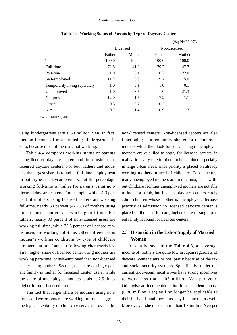|                               |        |          |              | $(7011 - 20.770$ |  |
|-------------------------------|--------|----------|--------------|------------------|--|
|                               |        | Licensed | Not-Licensed |                  |  |
|                               | Father | Mother   | Father       | Mother           |  |
| Total                         | 100.0  | 100.0    | 100.0        | 100.0            |  |
| Full-time                     | 72.8   | 41.3     | 79.7         | 47.7             |  |
| Part-time                     | 1.0    | 35.1     | 0.7          | 22.0             |  |
| Self-employed                 | 11.2   | 8.9      | 9.2          | 5.0              |  |
| Temporarily living separately | 1.0    | 0.1      | 1.0          | 0.1              |  |
| Unemployed                    | 1.0    | 8.5      | 1.0          | 21.3             |  |
| Not present                   | 12.0   | 1.5      | 7.2          | 1.1              |  |
| Other                         | 0.3    | 3.2      | 0.3          | 1.1              |  |
| N.A.                          | 0.7    | 1.4      | 0.9          | 1.7              |  |

**Table 4.4 Working Status of Parents by Type of Daycare Center** 

Source: MHLW, 2000

using kindergartens earn 0.58 million Yen. In fact, median income of mothers using kindergartens is zero, because most of them are not working.

Table 4.4 compares working status of parents using licensed daycare centers and those using nonlicensed daycare centers. For both fathers and mothers, the largest share is found in full-time employment in both types of daycare centers, but the percentage working full-time is higher for parents using nonlicensed daycare centers. For example, while 41.3 percent of mothers using licensed centers are working full-time, nearly 50 percent (47.7%) of mothers using non-licensed centers are working full-time. For fathers, nearly 80 percent of non-licensed users are working full-time, while 72.8 percent of licensed center users are working full-time. Other differences in mother's working conditions by type of childcare arrangement are found in following characteristics. First, higher share of licensed center using mothers are working part-time, or self-employed than non-licensed center using mothers. Second, the share of single-parent family is higher for licensed center users, while the share of unemployed mothers is about 2.5 times higher for non-licensed users.

The fact that larger share of mothers using nonlicensed daycare centers are working full-time suggests the higher flexibility of child care services provided by non-licensed centers. Non-licensed centers are also functioning as a temporary shelter for unemployed mothers while they look for jobs. Though unemployed mothers are qualified to apply for licensed centers, in reality, it is very rare for them to be admitted especially in large urban areas, since priority is placed on already working mothers in need of childcare. Consequently, many unemployed mothers are in dilemma, since without childcare facilities unemployed mothers are not able to look for a job, but licensed daycare centers rarely admit children whose mother is unemployed. Because priority of admission to licensed daycare center is placed on the need for care, higher share of single-parent family is found for licensed centers.

 $(0/1$ N=26,078

# **2.3 Distortion in the Labor Supply of Married Women**

As can be seen in the Table 4.3, an average income of mothers are quite low in Japan regardless of daycare center users or not, partly because of the tax and social security systems. Specifically, under the current tax system, most wives have strong incentives to work less than 1.03 million Yen per year. Otherwise an income deduction for dependent spouse (0.38 million Yen) will no longer be applicable to their husbands and they must pay income tax as well. Moreover, if she makes more than 1.3 million Yen per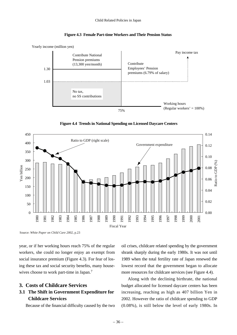![](_page_40_Figure_1.jpeg)

![](_page_40_Figure_2.jpeg)

**Figure 4.4 Trends in National Spending on Licensed Daycare Centers**

![](_page_40_Figure_4.jpeg)

Source: *White Paper on Child Care 2002,* p.23

year, or if her working hours reach 75% of the regular workers, she could no longer enjoy an exempt from social insurance premium (Figure 4.3). For fear of losing these tax and social security benefits, many housewives choose to work part-time in Japan.<sup>7</sup>

# **3. Costs of Childcare Services**

# **3.1 The Shift in Government Expenditure for Childcare Services**

Because of the financial difficulty caused by the two

oil crises, childcare related spending by the government shrank sharply during the early 1980s. It was not until 1989 when the total fertility rate of Japan renewed the lowest record that the government began to allocate more resources for childcare services (see Figure 4.4).

Along with the declining birthrate, the national budget allocated for licensed daycare centers has been increasing, reaching as high as 407 billion Yen in 2002. However the ratio of childcare spending to GDP (0.08%), is still below the level of early 1980s. In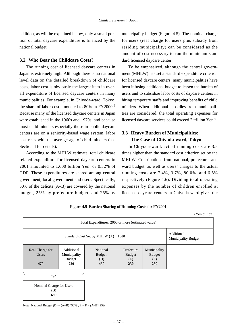addition, as will be explained below, only a small portion of total daycare expenditure is financed by the national budget.

#### **3.2 Who Bear the Childcare Costs?**

The running cost of licensed daycare centers in Japan is extremely high. Although there is no national level data on the detailed breakdown of childcare costs, labor cost is obviously the largest item in overall expenditure of licensed daycare centers in many municipalities. For example, in Chiyoda-ward, Tokyo, the share of labor cost amounted to 80% in FY2000.<sup>8</sup> Because many of the licensed daycare centers in Japan were established in the 1960s and 1970s, and because most child minders especially those in public daycare centers are on a seniority-based wage system, labor cost rises with the average age of child minders (see Section 4 for details).

According to the MHLW estimate, total childcare related expenditure for licensed daycare centers in 2001 amounted to 1,600 billion Yen, or 0.32% of GDP. These expenditures are shared among central government, local government and users. Specifically, 50% of the deficits (A–B) are covered by the national budget, 25% by prefecture budget, and 25% by municipality budget (Figure 4.5). The nominal charge for users (real charge for users plus subsidy from residing municipality) can be considered as the amount of cost necessary to run the minimum standard licensed daycare center.

To be emphasized, although the central government (MHLW) has set a standard expenditure criterion for licensed daycare centers, many municipalities have been infusing additional budget to lessen the burden of users and to subsidize labor costs of daycare centers in hiring temporary staffs and improving benefits of child minders. When additional subsidies from municipalities are considered, the total operating expenses for licensed daycare services could exceed 2 trillion Yen.<sup>9</sup>

# **3.3 Heavy Burden of Municipalities: The Case of Chiyoda-ward, Tokyo**

In Chiyoda-ward, actual running costs are 3.5 times higher than the standard cost criterion set by the MHLW. Contributions from national, prefectural and ward budget, as well as users' charges to the actual running costs are 7.4%, 3.7%, 80.0%, and 6.5% respectively (Figure 4.6). Dividing total operating expenses by the number of children enrolled at licensed daycare centers in Chiyoda-ward gives the

|                                 |                                              |                                                    |                                    |                                      | (Yen billion) |  |
|---------------------------------|----------------------------------------------|----------------------------------------------------|------------------------------------|--------------------------------------|---------------|--|
|                                 |                                              | Total Expenditures: 2000 or more (estimated value) |                                    |                                      |               |  |
|                                 | Standard Cost Set by MHLW (A)<br><b>1600</b> |                                                    |                                    |                                      |               |  |
| Real Charge for<br>Users        | Additional<br>Municipality<br>Budget         | National<br><b>Budget</b><br>(D)                   | Prefecture<br><b>Budget</b><br>(E) | Municipality<br><b>Budget</b><br>(F) |               |  |
| 470                             | 220                                          | 450                                                | 230                                | <b>230</b>                           |               |  |
|                                 |                                              |                                                    |                                    |                                      |               |  |
| Nominal Charge for Users<br>(B) |                                              |                                                    |                                    |                                      |               |  |
| 690                             |                                              |                                                    |                                    |                                      |               |  |

**Figure 4.5 Burden Sharing of Running Costs for FY2001**

Note: National Budget (D) =  $(A-B)^*50\%$ ; E = F =  $(A-B)^*25\%$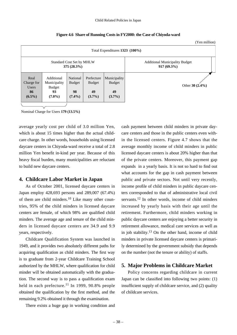|                                                       |                                                         |                                              |                                                |                                                        | (Yen million)     |
|-------------------------------------------------------|---------------------------------------------------------|----------------------------------------------|------------------------------------------------|--------------------------------------------------------|-------------------|
|                                                       |                                                         |                                              |                                                | Total Expenditures 1323 (100%)                         |                   |
| Standard Cost Set by MHLW<br>375(28.3%)               |                                                         |                                              |                                                | <b>Additional Municipality Budget</b><br>$917(69.3\%)$ |                   |
| Real<br>Charge for<br><b>Users</b><br>86<br>$(6.5\%)$ | Additional<br>Municipality<br>Budget<br>93<br>$(7.0\%)$ | National<br><b>Budget</b><br>98<br>$(7.4\%)$ | Prefecture<br><b>Budget</b><br>49<br>$(3.7\%)$ | Municipality<br>Budget<br>49<br>$(3.7\%)$              | Other $30(2.4\%)$ |

**Figure 4.6 Share of Running Costs in FY2000: the Case of Chiyoda-ward**

Nominal Charge for Users **179 (13.5%)**

average yearly cost per child of 3.0 million Yen, which is about 15 times higher than the actual childcare charge. In other words, households using licensed daycare centers in Chiyoda-ward receive a total of 2.8 million Yen benefit in-kind per year. Because of this heavy fiscal burden, many municipalities are reluctant to build new daycare centers.

#### **4. Childcare Labor Market in Japan**

As of October 2001, licensed daycare centers in Japan employ 428,693 persons and 289,007 (67.4%) of them are child minders.<sup>10</sup> Like many other countries, 95% of the child minders in licensed daycare centers are female, of which 98% are qualified child minders. The average age and tenure of the child minders in licensed daycare centers are 34.9 and 9.9 years, respectively.

Childcare Qualification System was launched in 1949, and it provides two absolutely different paths for acquiring qualification as child minders. The first way is to graduate from 2-year Childcare Training School authorized by the MHLW, where qualification for child minder will be obtained automatically with the graduation. The second way is to pass a qualification exam held in each prefecture.<sup>11</sup> In 1999, 90.8% people obtained the qualification by the first method, and the remaining 9.2% obtained it through the examination.

There exists a huge gap in working condition and

cash payment between child minders in private daycare centers and those in the public centers even within the licensed centers. Figure 4.7 shows that the average monthly income of child minders in public licensed daycare centers is about 20% higher than that of the private centers. Moreover, this payment gap expands in a yearly basis. It is not so hard to find out what accounts for the gap in cash payment between public and private sectors. Not until very recently, income profile of child minders in public daycare centers corresponded to that of administrative local civil servants.<sup>12</sup> In other words, income of child minders increased by yearly basis with their age until the retirement. Furthermore, child minders working in public daycare centers are enjoying a better security in retirement allowance, medical care services as well as in job stability.<sup>13</sup> On the other hand, income of child minders in private licensed daycare centers is primarily determined by the government subsidy that depends on the number (not the tenure or ability) of staffs.

# **5. Major Problems in Childcare Market**

Policy concerns regarding childcare in current Japan can be classified into following two points: (1) insufficient supply of childcare service, and (2) quality of childcare services.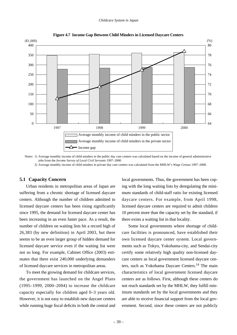![](_page_43_Figure_1.jpeg)

![](_page_43_Figure_2.jpeg)

Notes: 1) Average monthly income of child minders in the public day care centers was calculated based on the income of general administrative jobs from the *Income Survey of Local Civil Servants* 1997–2000

2) Average monthly income of child minders in private day care centers was calculated from the MHLW's *Wage Census* 1997–2000.

#### **5.1 Capacity Concern**

Urban residents in metropolitan areas of Japan are suffering from a chronic shortage of licensed daycare centers. Although the number of children admitted to licensed daycare centers has been rising significantly since 1995, the demand for licensed daycare center has been increasing in an even faster pace. As a result, the number of children on waiting lists hit a record high of 26,383 (by new definition) in April 2003, but there seems to be an even larger group of hidden demand for licensed daycare service even if the waiting list were not so long. For example, Cabinet Office (2003) estimates that there exist 240,000 underlying demanders of licensed daycare services in metropolitan areas.

To meet the growing demand for childcare services, the government has launched on the Angel Plans (1995–1999, 2000–2004) to increase the childcare capacity especially for children aged 0–3 years old. However, it is not easy to establish new daycare centers while running huge fiscal deficits in both the central and local governments. Thus, the government has been coping with the long waiting lists by deregulating the minimum standards of child-staff ratio for existing licensed daycare centers. For example, from April 1998, licensed daycare centers are required to admit children 10 percent more than the capacity set by the standard, if there exists a waiting list in that locality.

Some local governments where shortage of childcare facilities is pronounced, have established their own licensed daycare center system. Local governments such as Tokyo, Yokohama-city, and Sendai-city certify some relatively high quality non-licensed daycare centers as local government licensed daycare centers, such as Yokohama Daycare Centers.14 The main characteristics of local government licensed daycare centers are as follows. First, although these centers do not reach standards set by the MHLW, they fulfill minimum standards set by the local governments and they are able to receive financial support from the local government. Second, since these centers are not publicly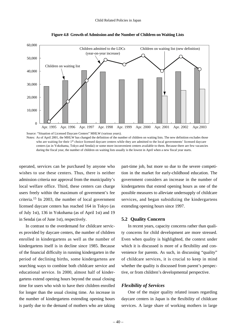![](_page_44_Figure_1.jpeg)

**Figure 4.8 Growth of Admission and the Number of Children on Waiting Lists**

Notes: As of April 2001, the MHLW has changed the definition of the number of children on waiting lists. The new definition excludes those who are waiting for their 1<sup>st</sup> choice licensed daycare centers while they are admitted to the local governments' licensed daycare centers (as in Yokohama, Tokyo and Sendai) or some more inconvenient centers available to them. Because there are few vacancies during the fiscal year, the number of children on waiting lists usually is the lowest in April when a new fiscal year starts.

operated, services can be purchased by anyone who wishes to use these centers. Thus, there is neither admission criteria nor approval from the municipality's local welfare office. Third, these centers can charge users freely within the maximum of government's fee criteria.<sup>15</sup> In 2003, the number of local government licensed daycare centers has reached 164 in Tokyo (as of July 1st), 136 in Yokohama (as of April 1st) and 19 in Sendai (as of June 1st), respectively.

In contrast to the overdemand for childcare services provided by daycare centers, the number of children enrolled in kindergartens as well as the number of kindergartens itself is in decline since 1985. Because of the financial difficulty in running kindergarten in the period of declining births, some kindergartens are searching ways to combine both childcare service and educational service. In 2000, almost half of kindergartens extend opening hours beyond the usual closing time for users who wish to have their children enrolled for longer than the usual closing time. An increase in the number of kindergartens extending opening hours is partly due to the demand of mothers who are taking

part-time job, but more so due to the severe competition in the market for early-childhood education. The government considers an increase in the number of kindergartens that extend opening hours as one of the possible measures to alleviate undersupply of childcare services, and began subsidizing the kindergartens extending opening hours since 1997.

#### **5.2 Quality Concern**

In recent years, capacity concerns rather than quality concerns for child development are more stressed. Even when quality is highlighted, the context under which it is discussed is more of a flexibility and convenience for parents. As such, in discussing "quality" of childcare services, it is crucial to keep in mind whether the quality is discussed from parent's perspective, or from children's developmental perspective.

#### *Flexibility of Services*

One of the major quality related issues regarding daycare centers in Japan is the flexibility of childcare services. A large share of working mothers in large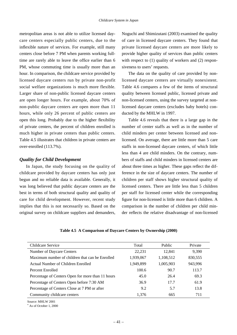metropolitan areas is not able to utilize licensed daycare centers especially public centers, due to the inflexible nature of services. For example, still many centers close before 7 PM when parents working fulltime are rarely able to leave the office earlier than 6 PM, whose commuting time is usually more than an hour. In comparison, the childcare service provided by licensed daycare centers run by private non-profit social welfare organizations is much more flexible. Larger share of non-public licensed daycare centers are open longer hours. For example, about 70% of non-public daycare centers are open more than 11 hours, while only 26 percent of public centers are open this long. Probably due to the higher flexibility of private centers, the percent of children enrolled is much higher in private centers than public centers. Table 4.5 illustrates that children in private centers are over-enrolled (113.7%).

### *Quality for Child Development*

In Japan, the study focusing on the quality of childcare provided by daycare centers has only just begun and no reliable data is available. Generally, it was long believed that public daycare centers are the best in terms of both structural quality and quality of care for child development. However, recent study implies that this is not necessarily so. Based on the original survey on childcare suppliers and demanders,

Noguchi and Shimizutani (2003) examined the quality of care in licensed daycare centers. They found that private licensed daycare centers are more likely to provide higher quality of services than public centers with respect to  $(1)$  quality of workers and  $(2)$  responsiveness to users' requests.

The data on the quality of care provided by nonlicensed daycare centers are virtually nonexistent. Table 4.6 compares a few of the items of structural quality between licensed public, licensed private and non-licensed centers, using the survey targeted at nonlicensed daycare centers (excludes baby hotels) conducted by the MHLW in 1997.

Table 4.6 reveals that there is a large gap in the number of center staffs as well as in the number of child minders per center between licensed and nonlicensed. On average, there are little more than 5 care staffs in non-licensed daycare centers, of which little less than 4 are child minders. On the contrary, numbers of staffs and child minders in licensed centers are about three times as higher. These gaps reflect the difference in the size of daycare centers. The number of children per staff shows higher structural quality of licensed centers. There are little less than 5 children per staff for licensed center while the corresponding figure for non-licensed is little more than 6 children. A comparison in the number of children per child minder reflects the relative disadvantage of non-licensed

|  |  | Table 4.5 A Comparison of Daycare Centers by Ownership (2000) |  |
|--|--|---------------------------------------------------------------|--|
|  |  |                                                               |  |

| Childcare Service                                 | Total     | Public    | Private |
|---------------------------------------------------|-----------|-----------|---------|
| Number of Daycare Centers                         | 22,231    | 12,841    | 9.390   |
| Maximum number of children that can be Enrolled   | 1,939,067 | 1,108,512 | 830,555 |
| Actual Number of Children Enrolled                | 1,949,899 | 1,005,903 | 943,996 |
| Percent Enrolled                                  | 100.6     | 90.7      | 113.7   |
| Percentage of Centers Open for more than 11 hours | 45.0      | 26.4      | 69.3    |
| Percentage of Centers Open before 7:30 AM         | 36.9      | 17.7      | 61.9    |
| Percentage of Centers Close at 7 PM or after      | 9.2       | 5.7       | 13.8    |
| Community childcare centers                       | 1.376     | 665       | 711     |

Source: MHLW 2001

As of October 1, 2000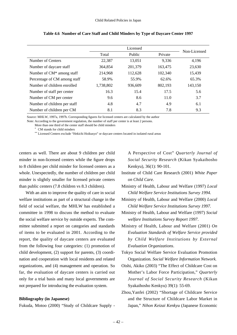|                                       | Total     | Public  | Private | Non-Licensed |
|---------------------------------------|-----------|---------|---------|--------------|
| Number of Centers                     | 22,387    | 13,051  | 9.336   | 4,196        |
| Number of daycare staff               | 364,854   | 201,379 | 163,475 | 23,630       |
| Number of CM <sup>*</sup> among staff | 214,968   | 112,628 | 102,340 | 15,439       |
| Percentage of CM among staff          | 58.9%     | 55.9%   | 62.6%   | 65.3%        |
| Number of children enrolled           | 1,738,802 | 936,609 | 802,193 | 143,150      |
| Number of staff per center            | 16.3      | 15.4    | 17.5    | 5.6          |
| Number of CM per center               | 9.6       | 8.6     | 11.0    | 3.7          |
| Number of children per staff          | 4.8       | 4.7     | 4.9     | 6.1          |
| Number of children per CM             | 8.1       | 8.3     | 7.8     | 9.3          |

**Table 4.6 Number of Care Staff and Child Minders by Type of Daycare Center 1997**

Source: MHLW, 1997a, 1997b. Corresponding figures for licensed centers are calculated by the author

Note: According to the government regulation, the number of staff per center is at least 2 persons.

More than one third of the center staff should be child minders

CM stands for child minders

\*\* Licensed Centers exclude "Hekichi Hoikusyo" or daycare centers located in isolated rural areas

centers as well. There are about 9 children per child minder in non-licensed centers while the figure drops to 8 children per child minder for licensed centers as a whole. Unexpectedly, the number of children per child minder is slightly smaller for licensed private centers than public centers (7.8 children vs 8.3 children).

With an aim to improve the quality of care in social welfare institutions as part of a structural change in the field of social welfare, the MHLW has established a committee in 1998 to discuss the method to evaluate the social welfare service by outside experts. The committee submitted a report on categories and standards of items to be evaluated in 2001. According to the report, the quality of daycare centers are evaluated from the following four categories: (1) promotion of child development, (2) support for parents, (3) coordination and cooperation with local residents and related organizations, and (4) management and operation. So far, the evaluation of daycare centers is carried out only for a trial basis and many local governments are not prepared for introducing the evaluation system.

#### **Bibliography (in Japanese)**

Fukuda, Motoo (2000) "Study of Childcare Supply -

A Perspective of Cost" *Quarterly Journal of Social Security Research* (Kikan Syakaihosho Kenkyu), 36(1): 90-101.

- Institute of Child Care Research (2001) *White Paper on Child Care.*
- Ministry of Health, Labour and Welfare (1997) *Local Child Welfare Service Institutions Survey 1994.*
- Ministry of Health, Labour and Welfare (2000) *Local Child Welfare Service Institutions Survey 1997.*

Ministry of Health, Labour and Welfare (1997) *Social welfare Institutions Survey Report 1997*.

- Ministry of Health, Labour and Welfare (2001) *On Evaluation Standards of Welfare Service provided by Child Welfare Institutions by External Evaluation Organizations*.
- Tokyo Social Welfare Service Evaluation Promotion Organization. *Social Welfare Information Network.*
- Oishi, Akiko (2003) "The Effect of Childcare Cost on Mother's Labor Force Participation," *Quarterly Journal of Social Security Research* (Kikan Syakaihosho Kenkyu) 39(1): 55-69.
- Zhou,Yanfei (2002) "Shortage of Childcare Service and the Structure of Childcare Labor Market in Japan," *Nihon Keizai Kenkyu* (Japanese Economic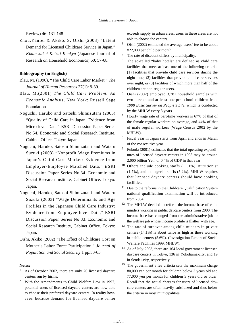Review) 46: 131-148

Zhou,Yanfei & Akiko. S. Oishi (2003) "Latent Demand for Licensed Childcare Service in Japan," *Kikan kakei Keizai Kenkyu* (Japanese Journal of Research on Household Economics) 60: 57-68.

#### **Bibliography (in English)**

- Blau, M. (1990), "The Child Care Labor Market," *The Journal of Human Resources* 27(1): 9-39.
- Blau, M.(2001) *The Child Care Problem: An Economic Analysis*, New York: Russell Sage Foundation.
- Noguchi, Haruko and Satoshi Shimizutani (2003) "Quality of Child Care in Japan: Evidence from Micro-level Data," ESRI Discussion Paper Series No.54. Economic and Social Research Institute, Cabinet Office. Tokyo: Japan.
- Noguchi, Haruko, Satoshi Shimizutani and Wataru Suzuki (2003) "Nonprofit Wage Premiums in Japan's Child Care Market: Evidence from Employer-Employee Matched Data," *E*SRI Discussion Paper Series No.34. Economic and Social Research Institute, Cabinet Office. Tokyo: Japan.
- Noguchi, Haruko, Satoshi Shimizutani and Wataru Suzuki (2003) "Wage Determinants and Age Profiles in the Japanese Child Care Industry: Evidence from Employee-level Data," ESRI Discussion Paper Series No.33. Economic and Social Research Institute, Cabinet Office. Tokyo: Japan.
- Oishi, Akiko (2002) "The Effect of Childcare Cost on Mother's Labor Force Participation," *Journal of Population and Social Security* 1 pp.50-65.

#### **Notes:**

- As of October 2002, there are only 20 licensed daycare centers run by fiirms.
- <sup>2</sup> With the Amendments to Child Welfare Law in 1997, potential users of licensed daycare centers are now able to choose their preferred daycare centers. In reality however, because demand for licensed daycare center

exceeds supply in urban areas, users in these areas are not able to choose the centers.

- $3$  Oishi (2002) estimated the average users' fee to be about ¥22,000 per child per month.
- <sup>4</sup> The rate of discount differs by municipality.
- <sup>5</sup> The so-called "baby hotels" are defined as child care facilities that meet at least one of the following criteria: (1) facilities that provide child care services during the night time, (2) facilities that provide child care services over night, or (3) facilities of which more than half of the children are non-regular users.
- <sup>6</sup> Oishi (2002) employed 3,781 household samples with two parents and at least one pre-school children from *1998 Basic Survey on People's Life*, which is conducted by the MHLW every 3 years.
- <sup>7</sup> Hourly wage rate of part-time workers is 67% of that of the female regular workers on average, and 44% of that of male regular workers (Wage Census 2002 by the MHLW).
- <sup>8</sup> Fiscal year in Japan starts from April and ends in March of the consecutive year.
- <sup>9</sup> Fukuda (2001) estimates that the total operating expenditures of licensed daycare centers in 1998 may be around 2,000 billion Yen, or 0.4% of GDP in that year.
- <sup>10</sup> Others include cooking staffs (11.1%), nutritionist (1.7%), and managerial staffs (5.2%). MHLW requires that licensed daycare centers should have cooking facilities.
- <sup>11</sup> Due to the reforms in the Childcare Qualifiication System national qualification examination will be introduced from 2004.
- <sup>12</sup> The MHLW decided to reform the income base of child minders working in public daycare centers from 2000. The income base has changed from the administrative job to the welfare job whose income profiile is fllatter with age.
- <sup>13</sup> The rate of turnover among child minders in private centers (14.1%) is about twice as high as those working in public centers (5.6%). (Investigation Report of Social Welfare Facilities 1999, MHLW).
- <sup>14</sup> As of July 2003, there are 164 local government licensed daycare centers in Tokyo, 136 in Yokohama-city, and 19 in Sendai-city, respectively.
- <sup>15</sup> The government's fee criteria sets the maximum charge 80,000 yen per month for children below 3 years old and 77,000 yen per month for children 3 years old or older. Recall that the actual charges for users of licensed daycare centers are often heavily subsidized and thus below the criteria in most municipalities.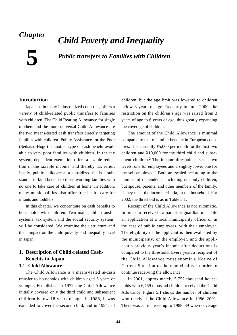# *Chapter*

# *Child Poverty and Inequality*

**5**

*Public transfers to Families with Children*

# **Introduction**

Japan, as in many industrialized countries, offers a variety of child-related public transfers to families with children. The Child Rearing Allowance for single mothers and the more universal Child Allowance are the two means-tested cash transfers directly targeting families with children. Public Assistance for the Poor (Seikatsu-Hogo) is another type of cash benefit available to very poor families with children. In the tax system, dependent exemption offers a sizable reduction in the taxable income, and thereby tax relief. Lastly, public childcare at a subsidized fee is a substantial in-kind benefit to those working families with no one to take care of children at home. In addition, many municipalities also offer free health care for infants and toddlers.

In this chapter, we concentrate on cash benefits to households with children. Two main public transfer systems: tax system and the social security system<sup>1</sup> will be considered. We examine their structure and their impact on the child poverty and inequality level in Japan.

# **1. Description of Child-related Cash-Benefits in Japan**

# **1.1 Child Allowance**

The Child Allowance is a means-tested in-cash transfer to households with children aged 6 years or younger. Established in 1972, the Child Allowance initially covered only the third child and subsequent children below 18 years of age. In 1988, it was extended to cover the second child, and in 1994, all

children, but the age limit was lowered to children below 3 years of age. Recently in June 2000, the restriction on the children's age was raised from 3 years of age to 6 years of age, thus greatly expanding the coverage of children.

The amount of the Child Allowance is minimal compared to that of similar benefits in European countries. It is currently ¥5,000 per month for the first two children and ¥10,000 for the third child and subsequent children.<sup>2</sup> The income threshold is set at two levels: one for employees and a slightly lower one for the self-employed.<sup>3</sup> Both are scaled according to the number of dependents, including not only children, but spouse, parents, and other members of the family, if they meet the income criteria, in the household. For 2002, the threshold is as in Table 5.1.

Receipt of the Child Allowance is not automatic. In order to receive it, a parent or guardian must file an application at a local municipality office, or in the case of public employees, with their employer. The eligibility of the applicant is then evaluated by the municipality, or the employer, and the applicant's previous year's income after deductions is compared to the threshold. Every year, a recipient of the Child Allowance must submit a Notice of Current Situation to the municipality in order to continue receiving the allowance.

In 2001, approximately 5,752 thousand households with 6,769 thousand children received the Child Allowance. Figure 5.1 shows the number of children who received the Child Allowance in 1986–2001. There was an increase up to 1988–89 when coverage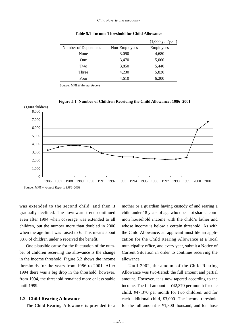|                      |               | $(1,000 \text{ yen/year})$ |
|----------------------|---------------|----------------------------|
| Number of Dependents | Non-Employees | Employees                  |
| None                 | 3,090         | 4,680                      |
| One                  | 3,470         | 5,060                      |
| Two                  | 3,850         | 5,440                      |
| Three                | 4,230         | 5,820                      |
| Four                 | 4,610         | 6,200                      |

**Table 5.1 Income Threshold for Child Allowance**

Source: *MHLW Annual Report*

![](_page_49_Figure_4.jpeg)

**Figure 5.1 Number of Children Receiving the Child Allowance: 1986–2001**

Source: *MHLW Annual Reports 1986–2003*

was extended to the second child, and then it gradually declined. The downward trend continued even after 1994 when coverage was extended to all children, but the number more than doubled in 2000 when the age limit was raised to 6. This means about 88% of children under 6 received the benefit.

One plausible cause for the fluctuation of the number of children receiving the allowance is the change in the income threshold. Figure 5.2 shows the income thresholds for the years from 1986 to 2001. After 1994 there was a big drop in the threshold; however, from 1994, the threshold remained more or less stable until 1999.

#### **1.2 Child Rearing Allowance**

The Child Rearing Allowance is provided to a

mother or a guardian having custody of and rearing a child under 18 years of age who does not share a common household income with the child's father and whose income is below a certain threshold. As with the Child Allowance, an applicant must file an application for the Child Rearing Allowance at a local municipality office, and every year, submit a Notice of Current Situation in order to continue receiving the allowance.

Until 2002, the amount of the Child Rearing Allowance was two-tiered: the full amount and partial amount. However, it is now tapered according to the income. The full amount is ¥42,370 per month for one child, ¥47,370 per month for two children, and for each additional child, ¥3,000. The income threshold for the full amount is ¥1,300 thousand, and for those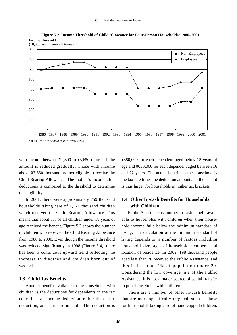![](_page_50_Figure_1.jpeg)

**Figure 5.2 Income Threshold of Child Allowance for Four-Person Households: 1986–2001** Income Threshold

with income between ¥1,300 to ¥3,650 thousand, the amount is reduced gradually. Those with income above ¥3,650 thousand are not eligible to receive the Child Rearing Allowance. The mother's income after deductions is compared to the threshold to determine the eligibility.

In 2001, there were approximately 759 thousand households taking care of 1,171 thousand children which received the Child Rearing Allowance. This means that about 5% of all children under 18 years of age received the benefit. Figure 5.3 shows the number of children who received the Child Rearing Allowance from 1986 to 2000. Even though the income threshold was reduced significantly in 1998 (Figure 5.4), there has been a continuous upward trend reflecting the increase in divorces and children born out of wedlock<sup>4</sup>

# **1.3 Child Tax Benefits**

Another benefit available to the households with children is the deductions for dependents in the tax code. It is an income deduction, rather than a tax deduction, and is not refundable. The deduction is ¥380,000 for each dependent aged below 15 years of age and ¥630,000 for each dependent aged between 16 and 22 years. The actual benefit to the household is the tax rate times the deduction amount and the benefit is thus larger for households in higher tax brackets.

# **1.4 Other In-cash Benefits for Households with Children**

Public Assistance is another in-cash benefit available to households with children when their household income falls below the minimum standard of living. The calculation of the minimum standard of living depends on a number of factors including household size, ages of household members, and location of residence. In 2002, 198 thousand people aged less than 20 received the Public Assistance, and this is less than 1% of population under 20. Considering the low coverage rate of the Public Assistance, it is not a major source of social transfer to poor households with children.

There are a number of other in-cash benefits that are more specifically targeted, such as those for households taking care of handicapped children.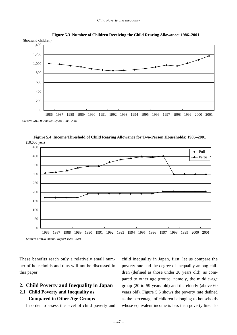![](_page_51_Figure_1.jpeg)

![](_page_51_Figure_2.jpeg)

(10,000 yen) 1986 1987 1988 1989 1990 1991 1992 1993 1994 1995 1996 1997 1998 1999 2000 2001 450 400 350 300 250 200 150 100 50  $\Omega$  $-$ Full - Partial

![](_page_51_Figure_4.jpeg)

Source: *MHLW Annual Report 1986–2001*

These benefits reach only a relatively small number of households and thus will not be discussed in this paper.

# **2. Child Poverty and Inequality in Japan**

# **2.1 Child Poverty and Inequality as Compared to Other Age Groups**

In order to assess the level of child poverty and

child inequality in Japan, first, let us compare the poverty rate and the degree of inequality among children (defined as those under 20 years old), as compared to other age groups, namely, the middle-age group (20 to 59 years old) and the elderly (above 60 years old). Figure 5.5 shows the poverty rate defined as the percentage of children belonging to households whose equivalent income is less than poverty line. To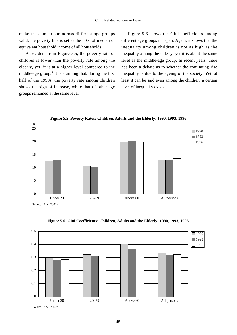make the comparison across different age groups valid, the poverty line is set as the 50% of median of equivalent household income of all households.

As evident from Figure 5.5, the poverty rate of children is lower than the poverty rate among the elderly, yet, it is at a higher level compared to the middle-age group.<sup>5</sup> It is alarming that, during the first half of the 1990s, the poverty rate among children shows the sign of increase, while that of other age groups remained at the same level.

Figure 5.6 shows the Gini coefficients among different age groups in Japan. Again, it shows that the inequality among children is not as high as the inequality among the elderly, yet it is about the same level as the middle-age group. In recent years, there has been a debate as to whether the continuing rise inequality is due to the ageing of the society. Yet, at least it can be said even among the children, a certain level of inequality exists.

![](_page_52_Figure_4.jpeg)

**Figure 5.5 Poverty Rates: Children, Adults and the Elderly: 1990, 1993, 1996**

![](_page_52_Figure_6.jpeg)

**Figure 5.6 Gini Coefficients: Children, Adults and the Elderly: 1990, 1993, 1996**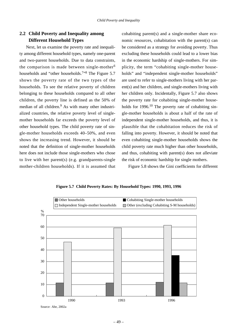# **2.2 Child Poverty and Inequality among Different Household Types**

Next, let us examine the poverty rate and inequality among different household types, namely one-parent and two-parent households. Due to data constraints, the comparison is made between single-mother<sup>6</sup> households and "other households.<sup>7</sup><sup>,8</sup> The Figure 5.7 shows the poverty rate of the two types of the households. To see the relative poverty of children belonging to these households compared to all other children, the poverty line is defined as the 50% of median of all children.<sup>9</sup> As with many other industrialized countries, the relative poverty level of singlemother households far exceeds the poverty level of other household types. The child poverty rate of single-mother households exceeds 40–50%, and even shows the increasing trend. However, it should be noted that the definition of single-mother households here does not include those single-mothers who chose to live with her parent(s) (e.g. grandparents-single mother-children households). If it is assumed that cohabiting parent(s) and a single-mother share economic resources, cohabitation with the parent(s) can be considered as a strategy for avoiding poverty. Thus excluding these households could lead to a lower bias in the economic hardship of single-mothers. For simplicity, the term "cohabiting single-mother households" and "independent single-mother households" are used to refer to single-mothers living with her parent(s) and her children, and single-mothers living with her children only. Incidentally, Figure 5.7 also shows the poverty rate for cohabiting single-mother households for  $1996$ <sup>10</sup> The poverty rate of cohabiting single-mother households is about a half of the rate of independent single-mother households, and thus, it is plausible that the cohabitation reduces the risk of falling into poverty. However, it should be noted that even cohabiting single-mother households shows the child poverty rate much higher than other households, and thus, cohabiting with parent(s) does not alleviate the risk of economic hardship for single mothers.

Figure 5.8 shows the Gini coefficients for different

![](_page_53_Figure_5.jpeg)

**Figure 5.7 Child Poverty Rates: By Household Types: 1990, 1993, 1996**

Source: Abe, 2002a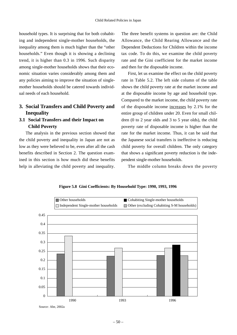household types. It is surprising that for both cohabiting and independent single-mother households, the inequality among them is much higher than the "other households." Even though it is showing a declining trend, it is higher than 0.3 in 1996. Such disparity among single-mother households shows that their economic situation varies considerably among them and any policies aiming to improve the situation of singlemother households should be catered towards individual needs of each household.

# **3. Social Transfers and Child Poverty and Inequality**

# **3.1 Social Transfers and their Impact on Child Poverty**

The analysis in the previous section showed that the child poverty and inequality in Japan are not as low as they were believed to be, even after all the cash benefits described in Section 2. The question examined in this section is how much did these benefits help in alleviating the child poverty and inequality.

The three benefit systems in question are: the Child Allowance, the Child Rearing Allowance and the Dependent Deductions for Children within the income tax code. To do this, we examine the child poverty rate and the Gini coefficient for the market income and then for the disposable income.

First, let us examine the effect on the child poverty rate in Table 5.2. The left side column of the table shows the child poverty rate at the market income and at the disposable income by age and household type. Compared to the market income, the child poverty rate of the disposable income increases by 2.1% for the entire group of children under 20. Even for small children (0 to 2 year olds and 3 to 5 year olds), the child poverty rate of disposable income is higher than the rate for the market income. Thus, it can be said that the Japanese social transfers is ineffective is reducing child poverty for overall children. The only category that shows a significant poverty reduction is the independent single-mother households.

The middle column breaks down the poverty

![](_page_54_Figure_8.jpeg)

**Figure 5.8 Gini Coefficients: By Household Type: 1990, 1993, 1996**

Source: Abe, 2002a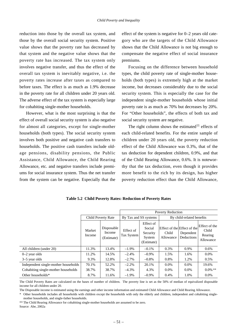reduction into those by the overall tax system, and those by the overall social security system. Positive value shows that the poverty rate has decreased by that system and the negative value shows that the poverty rate has increased. The tax system only involves negative transfer, and thus the effect of the overall tax system is inevitably negative, i.e. the poverty rates increase after taxes as compared to before taxes. The effect is as much as 1.9% decrease in the poverty rate for all children under 20 years old. The adverse effect of the tax system is especially large for cohabiting single-mother households.

However, what is the most surprising is that the effect of overall social security system is also negative for almost all categories, except for single-mother households (both types). The social security system involves both positive and negative cash transfers to households. The positive cash transfers include oldage pensions, disability pensions, the Public Assistance, Child Allowance, the Child Rearing Allowance, etc. and negative transfers include premiums for social insurance system. Thus the net transfer from the system can be negative. Especially that the

effect of the system is negative for 0–2 years old category who are the targets of the Child Allowance shows that the Child Allowance is not big enough to compensate the negative effect of social insurance premiums.

Focusing on the difference between household types, the child poverty rate of single-mother households (both types) is extremely high at the market income, but decreases considerably due to the social security system. This is especially the case for the independent single-mother households whose initial poverty rate is as much as 70% but decreases by 20%. For "Other households", the effects of both tax and social security system are negative.

The right column shows the estimated<sup>11</sup> effects of each child-related benefits. For the entire sample of children under 20 years old, the poverty reduction effect of the Child Allowance was 0.3%, that of the tax deduction for dependent children, 0.9%, and that of the Child Rearing Allowance, 0.6%. It is noteworthy that the tax deduction, even though it provides more benefit to the rich by its design, has higher poverty reduction effect than the Child Allowance,

|                                      |                  |                                    | <b>Poverty Reduction</b> |                                                         |                           |                                                        |                                                |  |
|--------------------------------------|------------------|------------------------------------|--------------------------|---------------------------------------------------------|---------------------------|--------------------------------------------------------|------------------------------------------------|--|
|                                      |                  | Child Poverty Rate                 | By Tax and SS systems    |                                                         | By child-related benefits |                                                        |                                                |  |
|                                      | Market<br>Income | Disposable<br>Income<br>(Estimate) | Effect of<br>Tax System  | Effect of<br>Social<br>Security<br>System<br>(Estimate) | Child<br>Allowance        | Effect of the Effect of the<br>Dependent<br>Deductions | Effect of the<br>Child<br>Rearing<br>Allowance |  |
| All children (under 20)              | 11.3%            | 13.4%                              | $-1.9\%$                 | $-0.1%$                                                 | $0.3\%$                   | 0.9%                                                   | 0.6%                                           |  |
| $0-2$ year olds                      | 11.2%            | 14.5%                              | $-2.4%$                  | $-0.9\%$                                                | 1.5%                      | 1.6%                                                   | $0.0\%$                                        |  |
| $3-5$ year olds                      | 9.3%             | 12.8%                              | $-2.7%$                  | $-0.8%$                                                 | 0.8%                      | 1.2%                                                   | 0.5%                                           |  |
| Independent single-mother households | 70.1%            | 52.2%                              | $-2.2%$                  | 20.1%                                                   | $0.0\%$                   | $0.0\%$                                                | 19.6%                                          |  |
| Cohabiting single-mother households  | 38.7%            | 38.7%                              | $-4.3\%$                 | 4.3%                                                    | $0.0\%$                   | $0.0\%$                                                | $0.0\%$ **                                     |  |
| Other households*                    | 8.7%             | 11.6%                              | $-1.9%$                  | $-0.9\%$                                                | 0.4%                      | 1.0%                                                   | $0.0\%$                                        |  |

**Table 5.2 Child Poverty Rates: Reduction of Poverty Rates**

The Child Poverty Rates are calculated on the bases of number of children. The poverty line is set as the 50% of median of equivalized disposable income for all children under 20.

The Disposable income is estimated using the earnings and other income information and estimated Child Allowance and Child Rearing Allowance.

\* Other households includes all households with children except the households with only the elderly and children, independent and cohabiting singlemother households, and single-father households.

\*\* The Child Rearing Allowance for cohabiting single-mother households are assumed to be zero.

Source: Abe, 2002a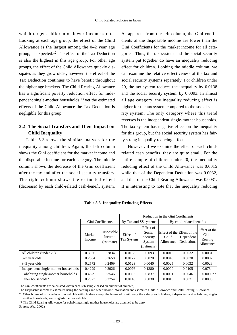which targets children of lower income strata. Looking at each age group, the effect of the Child Allowance is the largest among the 0–2 year age group, as expected.<sup>12</sup> The effect of the Tax Deduction is also the highest in this age group. For other age groups, the effect of the Child Allowance quickly dissipates as they grow older, however, the effect of the Tax Deduction continues to have benefit throughout the higher age brackets. The Child Rearing Allowance has a significant poverty reduction effect for independent single-mother households, $^{13}$  yet the estimated effects of the Child Allowance the Tax Deduction is negligible for this group.

# **3.2 The Social Transfers and Their Impact on Child Inequality**

Table 5.3 shows the similar analysis for the inequality among children. Again, the left column shows the Gini coefficient for the market income and the disposable income for each category. The middle column shows the decrease of the Gini coefficient after the tax and after the social security transfers. The right column shows the estimated effect (decrease) by each child-related cash-benefit system.

As apparent from the left column, the Gini coefficients of the disposable income are lower than the Gini Coefficients for the market income for all categories. Thus, the tax system and the social security system put together do have an inequality reducing effect for children. Looking the middle column, we can examine the relative effectiveness of the tax and social security systems separately. For children under 20, the tax system reduces the inequality by 0.0138 and the social security system, by 0.0093. In almost all age category, the inequality reducing effect is higher for the tax system compared to the social security system. The only category where this trend reverses is the independent single-mother households. The tax system has negative effect on the inequality for this group, but the social security system has fairly strong inequality reducing effect.

However, if we examine the effect of each childrelated cash benefits, they are quite small. For the entire sample of children under 20, the inequality reducing effect of the Child Allowance was 0.0015 while that of the Dependent Deduction was 0.0032, and that of the Child Rearing Allowance was 0.0031. It is interesting to note that the inequality reducing

|                                      |                  |                                    | Reduction in the Gini Coefficients |                                                         |                    |                                                        |                                                |  |
|--------------------------------------|------------------|------------------------------------|------------------------------------|---------------------------------------------------------|--------------------|--------------------------------------------------------|------------------------------------------------|--|
|                                      |                  | Gini Coefficients                  |                                    | By Tax and SS systems                                   |                    | By child-related benefits                              |                                                |  |
|                                      | Market<br>Income | Disposable<br>Income<br>(estimate) | Effect of<br>Tax System            | Effect of<br>Social<br>Security<br>System<br>(Estimate) | Child<br>Allowance | Effect of the Effect of the<br>Dependent<br>Deductions | Effect of the<br>Child<br>Rearing<br>Allowance |  |
| All children (under 20)              | 0.3066           | 0.2834                             | 0.0138                             | 0.0093                                                  | 0.0015             | 0.0032                                                 | 0.0031                                         |  |
| $0-2$ year olds                      | 0.2804           | 0.2658                             | 0.0127                             | 0.0020                                                  | 0.0043             | 0.0030                                                 | 0.0007                                         |  |
| $3-5$ year olds                      | 0.2572           | 0.2409                             | 0.0123                             | 0.0040                                                  | 0.0025             | 0.0032                                                 | 0.0026                                         |  |
| Independent single-mother households | 0.4229           | 0.2926                             | $-0.0076$                          | 0.1380                                                  | 0.0000             | 0.0105                                                 | 0.0734                                         |  |
| Cohabiting single-mother households  | 0.4529           | 0.3546                             | 0.0096                             | 0.0837                                                  | 0.0001             | 0.0046                                                 | $0.0000**$                                     |  |
| Other households*                    | 0.2923           | 0.2754                             | 0.0140                             | 0.0030                                                  | 0.0016             | 0.0031                                                 | 0.0000                                         |  |

**Table 5.3 Inequality Reducing Effects**

The Gini coefficients are calculated within each sub sample based on number of children,

The Disposable income is estimated using the earnings and other income information and estimated Child Allowance and Child Rearing Allowance.

\* Other households includes all households with children except the households with only the elderly and children, independent and cohabiting singlemother households, and single-father households.

\*\* The Child Rearing Allowance for cohabiting single-mother households are assumed to be zero.

Source: Abe, 2002a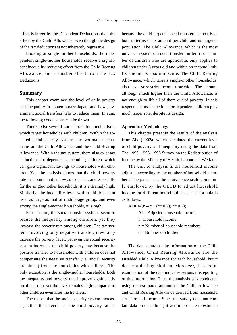effect is larger by the Dependent Deductions than the effect by the Child Allowance, even though the design of the tax deductions is not inherently regressive.

Looking at single-mother households, the independent single-mother households receive a significant inequality reducing effect from the Child Rearing Allowance, and a smaller effect from the Tax Deductions.

# **Summary**

This chapter examined the level of child poverty and inequality in contemporary Japan, and how government social transfers help to reduce them. In sum, the following conclusions can be drawn.

There exist several social transfer mechanisms which target households with children. Within the socalled social security systems, the two main mechanisms are the Child Allowance and the Child Rearing Allowance. Within the tax system, there also exist tax deductions for dependents, including children, which can give significant savings to households with children. Yet, the analysis shows that the child poverty rate in Japan is not as low as expected, and especially for the single-mother households, it is extremely high. Similarly, the inequality level within children is at least as large as that of middle-age group, and even among the single-mother households, it is high.

Furthermore, the social transfer systems seem to reduce the inequality among children, yet they increase the poverty rate among children. The tax system, involving only negative transfer, inevitably increase the poverty level, yet even the social security system increases the child poverty rate because the positive transfer to households with children does not compensate the negative transfer (i.e. social security premiums) from the households with children. The only exception is the single-mother households. Both the inequality and poverty rate improve significantly for this group, yet the level remains high compared to other children even after the transfers.

The reason that the social security system increases, rather than decreases, the child poverty rate is because the child-targeted social transfers is too trivial both in terms of its amount per child and its targeted population. The Child Allowance, which is the most universal system of social transfers in terms of number of children who are applicable, only applies to children under 6 years old and within an income limit. Its amount is also miniscule. The Child Rearing Allowance, which targets single-mother households, also has a very strict income restriction. The amount, although much higher than the Child Allowance, is not enough to lift all of them out of poverty. In this respect, the tax deductions for dependent children play much larger role, despite its design.

#### **Appendix : Methodology**

This chapter presents the results of the analysis from Abe (2002a) which calculated the current level of child poverty and inequality using the data from The 1990, 1993, 1996 Survey on the Redistribution of Income by the Ministry of Health, Labour and Welfare.

The unit of analysis is the household income adjusted according to the number of household members. The paper uses the equivalence scale commonly employed by the OECD to adjust household income for different household sizes. The formula is as follows:

 $AI = I/((n - c + (c * 0.7)) ** 0.7);$  $AI = Adjusted$  household income I= Household income  $n =$  Number of household members  $c =$ Number of children

The data contains the information on the Child Allowance, Child Rearing Allowance and the Disabled Child Allowance for each household, but it does not distinguish them. Moreover, the careful examination of the data indicates serious misreporting of this information. Thus, the analysis was conducted using the estimated amount of the Child Allowance and Child Rearing Allowance derived from household structure and income. Since the survey does not contain data on disabilities, it was impossible to estimate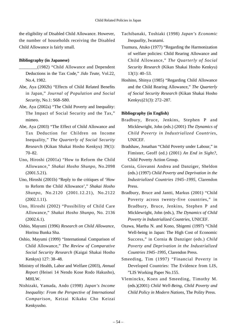the eligibility of Disabled Child Allowance. However, the number of households receiving the Disabled Child Allowance is fairly small.

# **Bibliography (in Japanese)**

- \_\_\_\_\_\_\_\_(1982) "Child Allowance and Dependent Deductions in the Tax Code," *Jido Teate*, Vol.22, No.4, 1982.
- Abe, Aya (2002b) "Effects of Child Related Benefits in Japan," *Journal of Population and Social Security*, No.1: S68–S80.
- Abe, Aya (2002a) "The Child Poverty and Inequality: The Impact of Social Security and the Tax," mimeo.
- Abe, Aya (2003) "The Effect of Child Allowance and Tax Deduction for Children on Income Inequality," *The Quarterly of Social Security Researc*h (Kikan Shakai Hosho Kenkyu) 39(1): 70–82.
- Uno, Hiroshi (2001a) "How to Reform the Child Allowance," *Shakai Hosho Shunpo*, No.2098 (2001.5.21).
- Uno, Hiroshi (2001b) "Reply to the critiques of 'How to Reform the Child Allowance'," *Shakai Hosho Shunpo*, No.2120 (2001.12.21), No.2122 (2002.1.11).
- Uno, Hiroshi (2002) "Possibility of Child Care Allowance," *Shakai Hosho Shunpo*, No. 2136 (2002.6.1).
- Oshio, Mayumi (1996) *Research on Child Allowance*, Horitsu Bunka Sha.
- Oshio, Mayumi (1999) "International Comparison of Child Allowance," *The Review of Comparative Social Security Research* (Kaigai Shakai Hosho Kenkyu) 127: 38–48.
- Ministry of Health, Labor and Welfare (2003), *Annual Report* (Heisei 14 Nendo Kose Rodo Hakusho), MHLW.
- Nishizaki, Yamada, Ando (1998) *Japan's Income Inequality: From the Perspective of International Comparison*, Keizai Kikaku Cho Keizai Kenkyusho.
- Tachibanaki, Toshiaki (1998) *Japan's Economic Inequality*, Iwanami.
- Tsumura, Atuko (1977) "Regarding the Harmonization of welfare policies: Child Rearing Allowance and Child Allowance," *The Quarterly of Social Security Research* (Kikan Shakai Hosho Kenkyu) 13(1): 40–53.
- Hoshino, Shinya (1985) "Regarding Child Allowance and the Child Rearing Allowance," *The Quarterly of Social Security Research* (Kikan Shakai Hosho Kenkyu)21(3): 272–287.

# **Bibliography (in English)**

- Bradbury, Bruce, Jenkins, Stephen P and Micklewright, John (eds.) (2001) *The Dynamics of Child Poverty in Industrialized Countrie*s, UNICEF.
- Bradshaw, Jonathan "Child Poverty under Labour," in Fimister, Geoff (ed.) (2001) *An End in Sight?*, Child Poverty Action Group.
- Cornia, Giovanni Andrea and Danziger, Sheldon (eds.) (1997) *Child Poverty and Deprivation in the Industrialized Countries 1945–1995*, Clarendon Press.
- Bradbury, Bruce and Jantti, Markus (2001) "Child Poverty across twenty-five countries," in Bradbury, Bruce, Jenkins, Stephen P and Micklewright, John (eds.), *The Dynamics of Child Poverty in Industrialized Countries*, UNICEF.
- Ozawa, Martha N. and Kono, Shigemi (1997) "Child Well-being in Japan: The High Cost of Economic Success," in Cornia & Danziger (eds.) *Child Poverty and Deprivation in the Industrialized Countries 1945–1995*, Clarendon Press.
- Smeeding, Tim (1997) "Financial Poverty in Developed Countries: The Evidence from LIS, "LIS Working Paper No.155.
- Vleminckx, Koen and Smeeding, Timothy M. (eds.)(2001) *Child Well-Being, Child Poverty and Child Policy in Modern Nations*, The Polity Press.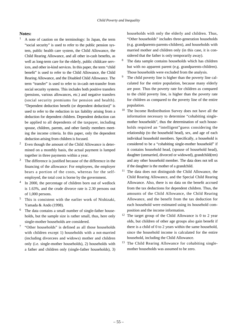#### **Notes:**

- $1$  A note of caution on the terminology: In Japan, the term "social security" is used to refer to the public pension system, public health care system, the Child Allowance, the Child Rearing Allowance, and all other in-cash benefits, as well as long-term care for the elderly, public childcare services, and other in-kind services. In this paper, the term "child benefit" is used to refer to the Child Allowance, the Child Rearing Allowance, and the Disabled Child Allowance. The term "transfer" is used to refer to in-cash net-transfer from social security systems. This includes both positive transfers (pensions, various allowances, etc.) and negative transfers (social security premiums for pension and health). "Dependent deduction benefit (or dependent deduction)" is used to refer to the reduction in tax liability arising from a deduction for dependent children. Dependent deduction can be applied to all dependents of the taxpayer, including spouse, children, parents, and other family members meeting the income criteria. In this paper, only the dependent deduction arising from children is focused.
- <sup>2</sup> Even though the amount of the Child Allowance is determined on a monthly basis, the actual payment is lumped together in three payments within a year.
- $3$  The difference is justified because of the difference in the financing of the allowance: For employees, the employer bears a portion of the costs, whereas for the selfemployed, the total cost is borne by the government.
- <sup>4</sup> In 2000, the percentage of children born out of wedlock is 1.63%, and the crude divorce rate is 2.30 persons out of 1,000 persons.
- <sup>5</sup> This is consistent with the earlier work of Nishizaki, Yamada & Ando (1998).
- <sup>6</sup> The data contains a small number of single-father households, but the sample size is rather small, thus, here only single-mother households are considered.
- <sup>7</sup> "Other households" is defined as all those households with children except 1) households with a not-married (including divorcees and widows) mother and children only (i.e. single-mother households), 2) households with a father and children only (single-father households), 3)

households with only the elderly and children. Thus, "Other households" includes three-generation households (e.g. grandparents-parents-children), and households with married mother and children only (in this case, it is considered that the father is only temporarily away).

- <sup>8</sup> The data sample contains households which has children but with no apparent parent (e.g. grandparents-children). Those households were excluded from the analysis.
- <sup>9</sup> The child poverty line is higher than the poverty line calculated for the entire population, because many elderly are poor. Thus the poverty rate for children as compared to the child poverty line, is higher than the poverty rate for children as compared to the poverty line of the entire population.
- <sup>10</sup> The Income Redistribution Survey does not have all the information necessary to determine "cohabiting singlemother households", thus the determination of such households required an "intelligent"guess considering the relationship (to the household head), sex, and age of each individual household members. Specifically, a household is considered to be a "cohabiting single-mother household" if it contains household head, (spouse of household head), daughter (unmarried, divorced or widowed), grandchild(ren) and any other household member. The data does not tell us if the daughter is the mother of a grandchild.
- <sup>11</sup> The data does not distinguish the Child Allowance, the Child Rearing Allowance, and the Special Child Rearing Allowance. Also, there is no data on the benefit accrued from the tax deductions for dependent children. Thus, the amounts of the Child Allowance, the Child Rearing Allowance, and the benefit from the tax deduction for each household were estimated using its household composition and the income information.
- $12$  The target group of the Child Allowance is 0 to 2 year olds, but children of other age groups also gain benefit if there is a child of 0 to 2 years within the same household, since the household income is calculated for the entire household, including the Child Allowance.
- <sup>13</sup> The Child Rearing Allowance for cohabiting singlemother households was assumed to be zero.